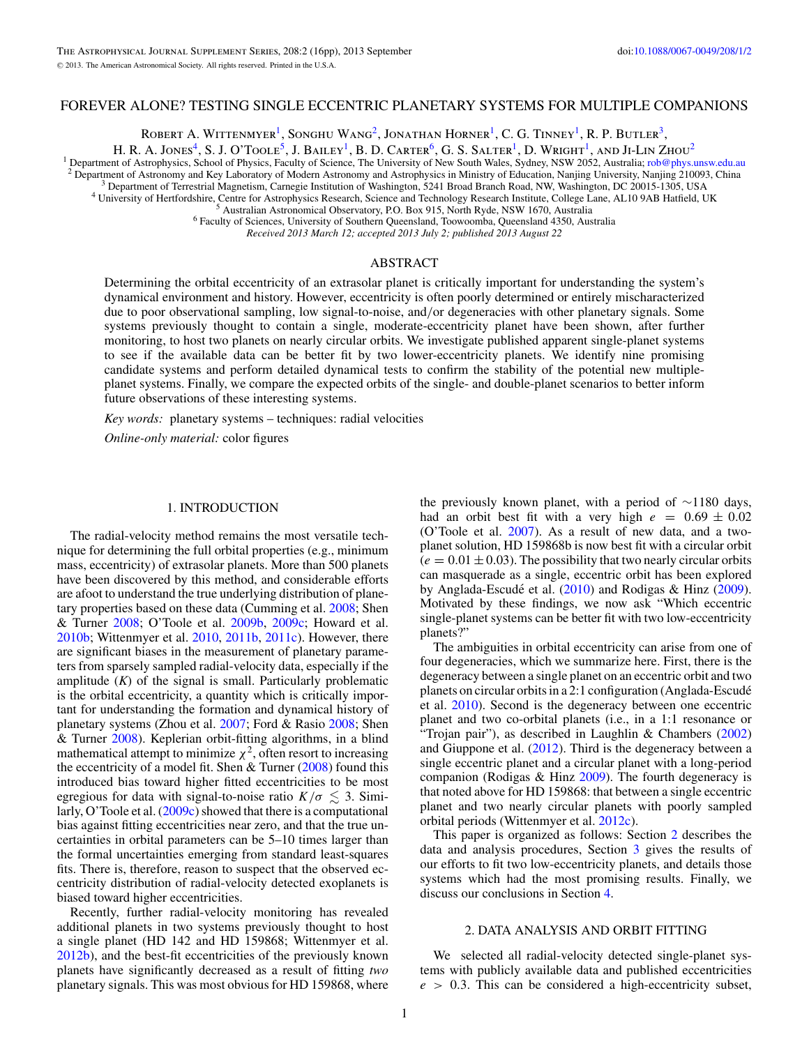## FOREVER ALONE? TESTING SINGLE ECCENTRIC PLANETARY SYSTEMS FOR MULTIPLE COMPANIONS

ROBERT A. WITTENMYER<sup>1</sup>, SONGHU WANG<sup>2</sup>, JONATHAN HORNER<sup>1</sup>, C. G. TINNEY<sup>1</sup>, R. P. BUTLER<sup>3</sup>,

H. R. A. JONES<sup>4</sup>, S. J. O'TOOLE<sup>5</sup>, J. BAILEY<sup>1</sup>, B. D. CARTER<sup>6</sup>, G. S. SALTER<sup>1</sup>, D. WRIGHT<sup>1</sup>, AND JI-LIN ZHOU<sup>2</sup><sup>1</sup><br><sup>1</sup> Department of Astrophysics, School of Physics, Faculty of Science, The University of New South W Department of Astronomy and Key Laboratory of Modern Astronomy and Astrophysics in Ministry of Education, Nanjing University, Nanjing 210093, China<br>
<sup>3</sup> Department of Terrestrial Magnetism, Carnegie Institution of Washingt

*Received 2013 March 12; accepted 2013 July 2; published 2013 August 22*

### ABSTRACT

Determining the orbital eccentricity of an extrasolar planet is critically important for understanding the system's dynamical environment and history. However, eccentricity is often poorly determined or entirely mischaracterized due to poor observational sampling, low signal-to-noise, and*/*or degeneracies with other planetary signals. Some systems previously thought to contain a single, moderate-eccentricity planet have been shown, after further monitoring, to host two planets on nearly circular orbits. We investigate published apparent single-planet systems to see if the available data can be better fit by two lower-eccentricity planets. We identify nine promising candidate systems and perform detailed dynamical tests to confirm the stability of the potential new multipleplanet systems. Finally, we compare the expected orbits of the single- and double-planet scenarios to better inform future observations of these interesting systems.

*Key words:* planetary systems – techniques: radial velocities

*Online-only material:* color figures

#### 1. INTRODUCTION

The radial-velocity method remains the most versatile technique for determining the full orbital properties (e.g., minimum mass, eccentricity) of extrasolar planets. More than 500 planets have been discovered by this method, and considerable efforts are afoot to understand the true underlying distribution of planetary properties based on these data (Cumming et al. [2008;](#page-15-0) Shen & Turner [2008;](#page-15-0) O'Toole et al. [2009b,](#page-15-0) [2009c;](#page-15-0) Howard et al. [2010b;](#page-15-0) Wittenmyer et al. [2010,](#page-15-0) [2011b,](#page-15-0) [2011c\)](#page-15-0). However, there are significant biases in the measurement of planetary parameters from sparsely sampled radial-velocity data, especially if the amplitude (*K*) of the signal is small. Particularly problematic is the orbital eccentricity, a quantity which is critically important for understanding the formation and dynamical history of planetary systems (Zhou et al. [2007;](#page-15-0) Ford & Rasio [2008;](#page-15-0) Shen & Turner [2008\)](#page-15-0). Keplerian orbit-fitting algorithms, in a blind mathematical attempt to minimize  $\chi^2$ , often resort to increasing the eccentricity of a model fit. Shen  $&$  Turner [\(2008\)](#page-15-0) found this introduced bias toward higher fitted eccentricities to be most egregious for data with signal-to-noise ratio  $K/\sigma \lesssim 3$ . Similarly, O'Toole et al. [\(2009c\)](#page-15-0) showed that there is a computational bias against fitting eccentricities near zero, and that the true uncertainties in orbital parameters can be 5–10 times larger than the formal uncertainties emerging from standard least-squares fits. There is, therefore, reason to suspect that the observed eccentricity distribution of radial-velocity detected exoplanets is biased toward higher eccentricities.

Recently, further radial-velocity monitoring has revealed additional planets in two systems previously thought to host a single planet (HD 142 and HD 159868; Wittenmyer et al. [2012b\)](#page-15-0), and the best-fit eccentricities of the previously known planets have significantly decreased as a result of fitting *two* planetary signals. This was most obvious for HD 159868, where

the previously known planet, with a period of ∼1180 days, had an orbit best fit with a very high  $e = 0.69 \pm 0.02$ (O'Toole et al. [2007\)](#page-15-0). As a result of new data, and a twoplanet solution, HD 159868b is now best fit with a circular orbit  $(e = 0.01 \pm 0.03)$ . The possibility that two nearly circular orbits can masquerade as a single, eccentric orbit has been explored by Anglada-Escudé et al.  $(2010)$  $(2010)$  and Rodigas & Hinz  $(2009)$ . Motivated by these findings, we now ask "Which eccentric single-planet systems can be better fit with two low-eccentricity planets?"

The ambiguities in orbital eccentricity can arise from one of four degeneracies, which we summarize here. First, there is the degeneracy between a single planet on an eccentric orbit and two planets on circular orbits in a 2:1 configuration (Anglada-Escude´ et al. [2010\)](#page-14-0). Second is the degeneracy between one eccentric planet and two co-orbital planets (i.e., in a 1:1 resonance or "Trojan pair"), as described in Laughlin & Chambers [\(2002\)](#page-15-0) and Giuppone et al.  $(2012)$ . Third is the degeneracy between a single eccentric planet and a circular planet with a long-period companion (Rodigas & Hinz  $2009$ ). The fourth degeneracy is that noted above for HD 159868: that between a single eccentric planet and two nearly circular planets with poorly sampled orbital periods (Wittenmyer et al. [2012c\)](#page-15-0).

This paper is organized as follows: Section 2 describes the data and analysis procedures, Section [3](#page-5-0) gives the results of our efforts to fit two low-eccentricity planets, and details those systems which had the most promising results. Finally, we discuss our conclusions in Section [4.](#page-7-0)

#### 2. DATA ANALYSIS AND ORBIT FITTING

We selected all radial-velocity detected single-planet systems with publicly available data and published eccentricities *e >* 0*.*3. This can be considered a high-eccentricity subset,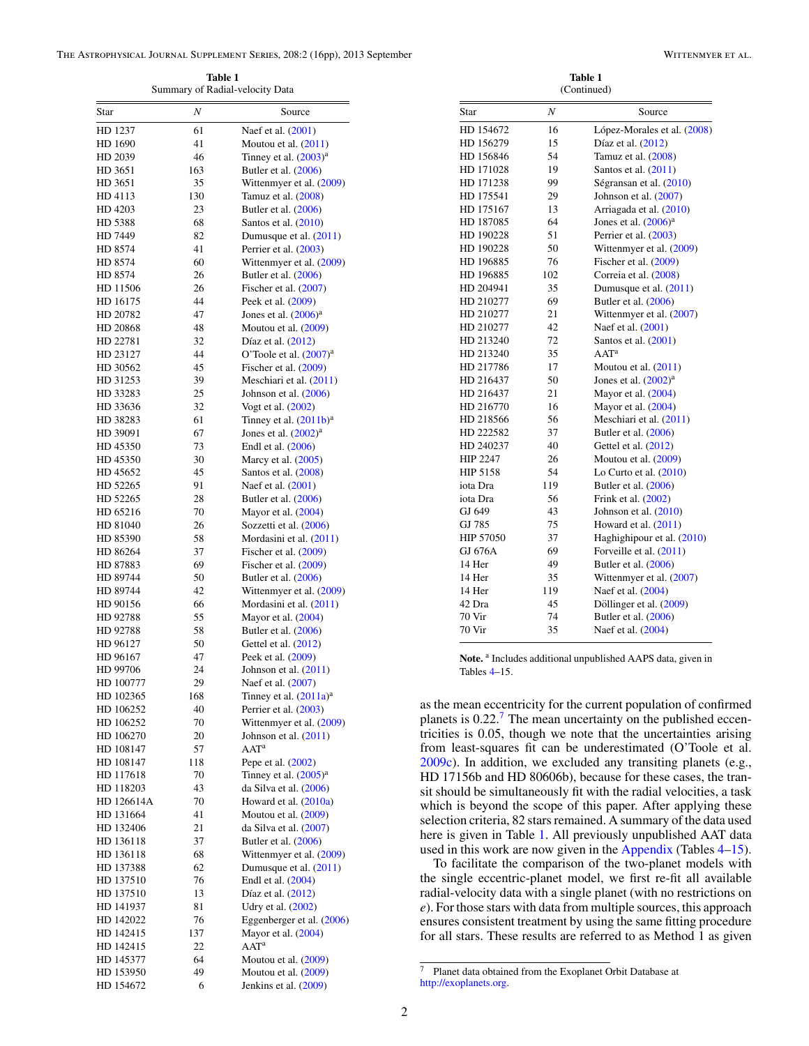The Astrophysical Journal Supplement Series, 208:2 (16pp), 2013 September Wittenmy et al.

**Table 1** Summary of Radial-velocity Data

| Star                 | Ν        | Source                                        |
|----------------------|----------|-----------------------------------------------|
| HD 1237              | 61       | Naef et al. (2001)                            |
| HD 1690              | 41       | Moutou et al. (2011)                          |
| HD 2039              | 46       | Tinney et al. $(2003)^{a}$                    |
| HD 3651              | 163      | Butler et al. (2006)                          |
| HD 3651              | 35       | Wittenmyer et al. (2009)                      |
| HD 4113              | 130      | Tamuz et al. (2008)                           |
| HD 4203              | 23       | Butler et al. (2006)                          |
| HD 5388              | 68       | Santos et al. (2010)                          |
| HD 7449              | 82       | Dumusque et al. (2011)                        |
| HD 8574              | 41       | Perrier et al. (2003)                         |
| HD 8574              | 60       | Wittenmyer et al. (2009)                      |
| HD 8574              | 26       | Butler et al. (2006)                          |
| HD 11506             | 26       | Fischer et al. $(2007)$                       |
| HD 16175             | 44       | Peek et al. (2009)                            |
| HD 20782             | 47       | Jones et al. $(2006)^a$                       |
| HD 20868             | 48       | Moutou et al. (2009)                          |
| HD 22781             | 32       | Díaz et al. (2012)                            |
| HD 23127             | 44       | O'Toole et al. $(2007)^a$                     |
| HD 30562             | 45       | Fischer et al. (2009)                         |
| HD 31253             | 39       | Meschiari et al. (2011)                       |
| HD 33283             | 25       | Johnson et al. (2006)                         |
| HD 33636             | 32       | Vogt et al. (2002)                            |
| HD 38283             | 61       | Tinney et al. $(2011b)^a$                     |
| HD 39091             | 67       | Jones et al. $(2002)^a$                       |
| HD 45350             | 73       | Endl et al. (2006)                            |
| HD 45350             | 30       | Marcy et al. (2005)                           |
| HD 45652             | 45       | Santos et al. (2008)                          |
| HD 52265             | 91       | Naef et al. (2001)                            |
| HD 52265             | 28       | Butler et al. (2006)                          |
| HD 65216             | 70       | Mayor et al. (2004)                           |
| HD 81040             | 26       | Sozzetti et al. (2006)                        |
| HD 85390             | 58       | Mordasini et al. (2011)                       |
| HD 86264             | 37       | Fischer et al. (2009)                         |
| HD 87883             | 69<br>50 | Fischer et al. (2009)<br>Butler et al. (2006) |
| HD 89744<br>HD 89744 | 42       | Wittenmyer et al. (2009)                      |
| HD 90156             | 66       | Mordasini et al. (2011)                       |
| HD 92788             | 55       | Mayor et al. (2004)                           |
| HD 92788             | 58       | Butler et al. (2006)                          |
| HD 96127             | 50       | Gettel et al. (2012)                          |
| HD 96167             | 47       | Peek et al. (2009)                            |
| HD 99706             | 24       | Johnson et al. $(2011)$                       |
| HD 100777            | 29       | Naef et al. (2007)                            |
| HD 102365            | 168      | Tinney et al. $(2011a)^a$                     |
| HD 106252            | 40       | Perrier et al. (2003)                         |
| HD 106252            | 70       | Wittenmyer et al. (2009)                      |
| HD 106270            | 20       | Johnson et al. $(2011)$                       |
| HD 108147            | 57       | AAT <sup>a</sup>                              |
| HD 108147            | 118      | Pepe et al. (2002)                            |
| HD 117618            | 70       | Tinney et al. $(2005)^{a}$                    |
| HD 118203            | 43       | da Silva et al. (2006)                        |
| HD 126614A           | 70       | Howard et al. (2010a)                         |
| HD 131664            | 41       | Moutou et al. (2009)                          |
| HD 132406            | 21       | da Silva et al. (2007)                        |
| HD 136118            | 37       | Butler et al. (2006)                          |
| HD 136118            | 68       | Wittenmyer et al. (2009)                      |
| HD 137388            | 62       | Dumusque et al. (2011)                        |
| HD 137510            | 76       | Endl et al. (2004)                            |
| HD 137510            | 13       | Díaz et al. (2012)                            |
| HD 141937            | 81       | Udry et al. (2002)                            |
| HD 142022            | 76       | Eggenberger et al. (2006)                     |
| HD 142415            | 137      | Mayor et al. (2004)                           |
| HD 142415            | 22       | AAT <sup>a</sup>                              |
| HD 145377            | 64       | Moutou et al. $(2009)$                        |
| HD 153950            | 49       | Moutou et al. (2009)                          |
| HD 154672            | 6        | Jenkins et al. $(2009)$                       |

| (Continued) |     |                             |  |  |  |  |  |
|-------------|-----|-----------------------------|--|--|--|--|--|
| Star        | N   | Source                      |  |  |  |  |  |
| HD 154672   | 16  | López-Morales et al. (2008) |  |  |  |  |  |
| HD 156279   | 15  | Díaz et al. (2012)          |  |  |  |  |  |
| HD 156846   | 54  | Tamuz et al. (2008)         |  |  |  |  |  |
| HD 171028   | 19  | Santos et al. (2011)        |  |  |  |  |  |
| HD 171238   | 99  | Ségransan et al. (2010)     |  |  |  |  |  |
| HD 175541   | 29  | Johnson et al. (2007)       |  |  |  |  |  |
| HD 175167   | 13  | Arriagada et al. (2010)     |  |  |  |  |  |
| HD 187085   | 64  | Jones et al. $(2006)^a$     |  |  |  |  |  |
| HD 190228   | 51  | Perrier et al. (2003)       |  |  |  |  |  |
| HD 190228   | 50  | Wittenmyer et al. (2009)    |  |  |  |  |  |
| HD 196885   | 76  | Fischer et al. (2009)       |  |  |  |  |  |
| HD 196885   | 102 | Correia et al. (2008)       |  |  |  |  |  |
| HD 204941   | 35  | Dumusque et al. (2011)      |  |  |  |  |  |
| HD 210277   | 69  | Butler et al. (2006)        |  |  |  |  |  |
| HD 210277   | 21  | Wittenmyer et al. (2007)    |  |  |  |  |  |
| HD 210277   | 42  | Naef et al. (2001)          |  |  |  |  |  |
| HD 213240   | 72  | Santos et al. (2001)        |  |  |  |  |  |
| HD 213240   | 35  | AAT <sup>a</sup>            |  |  |  |  |  |
| HD 217786   | 17  | Moutou et al. (2011)        |  |  |  |  |  |
| HD 216437   | 50  | Jones et al. $(2002)^a$     |  |  |  |  |  |
| HD 216437   | 21  | Mayor et al. (2004)         |  |  |  |  |  |
| HD 216770   | 16  | Mayor et al. (2004)         |  |  |  |  |  |
| HD 218566   | 56  | Meschiari et al. (2011)     |  |  |  |  |  |
| HD 222582   | 37  | Butler et al. (2006)        |  |  |  |  |  |
| HD 240237   | 40  | Gettel et al. (2012)        |  |  |  |  |  |
| HIP 2247    | 26  | Moutou et al. $(2009)$      |  |  |  |  |  |
| HIP 5158    | 54  | Lo Curto et al. $(2010)$    |  |  |  |  |  |
| iota Dra    | 119 | Butler et al. (2006)        |  |  |  |  |  |
| iota Dra    | 56  | Frink et al. (2002)         |  |  |  |  |  |
| GJ 649      | 43  | Johnson et al. $(2010)$     |  |  |  |  |  |
| GJ 785      | 75  | Howard et al. $(2011)$      |  |  |  |  |  |
| HIP 57050   | 37  | Haghighipour et al. (2010)  |  |  |  |  |  |
| GJ 676A     | 69  | Forveille et al. (2011)     |  |  |  |  |  |
| 14 Her      | 49  | Butler et al. (2006)        |  |  |  |  |  |
| 14 Her      | 35  | Wittenmyer et al. (2007)    |  |  |  |  |  |
| 14 Her      | 119 | Naef et al. (2004)          |  |  |  |  |  |
| 42 Dra      | 45  | Döllinger et al. (2009)     |  |  |  |  |  |
| 70 Vir      | 74  | Butler et al. (2006)        |  |  |  |  |  |
| 70 Vir      | 35  | Naef et al. (2004)          |  |  |  |  |  |

**Table 1**

**Note.** <sup>a</sup> Includes additional unpublished AAPS data, given in Tables [4–](#page-8-0)15.

as the mean eccentricity for the current population of confirmed planets is  $0.22$ .<sup>7</sup> The mean uncertainty on the published eccentricities is 0.05, though we note that the uncertainties arising from least-squares fit can be underestimated (O'Toole et al. [2009c\)](#page-15-0). In addition, we excluded any transiting planets (e.g., HD 17156b and HD 80606b), because for these cases, the transit should be simultaneously fit with the radial velocities, a task which is beyond the scope of this paper. After applying these selection criteria, 82 stars remained. A summary of the data used here is given in Table 1. All previously unpublished AAT data used in this work are now given in the [Appendix](#page-8-0) (Tables [4](#page-8-0)[–15\)](#page-14-0).

To facilitate the comparison of the two-planet models with the single eccentric-planet model, we first re-fit all available radial-velocity data with a single planet (with no restrictions on *e*). For those stars with data from multiple sources, this approach ensures consistent treatment by using the same fitting procedure for all stars. These results are referred to as Method 1 as given

<sup>7</sup> Planet data obtained from the Exoplanet Orbit Database at [http://exoplanets.org.](http://exoplanets.org)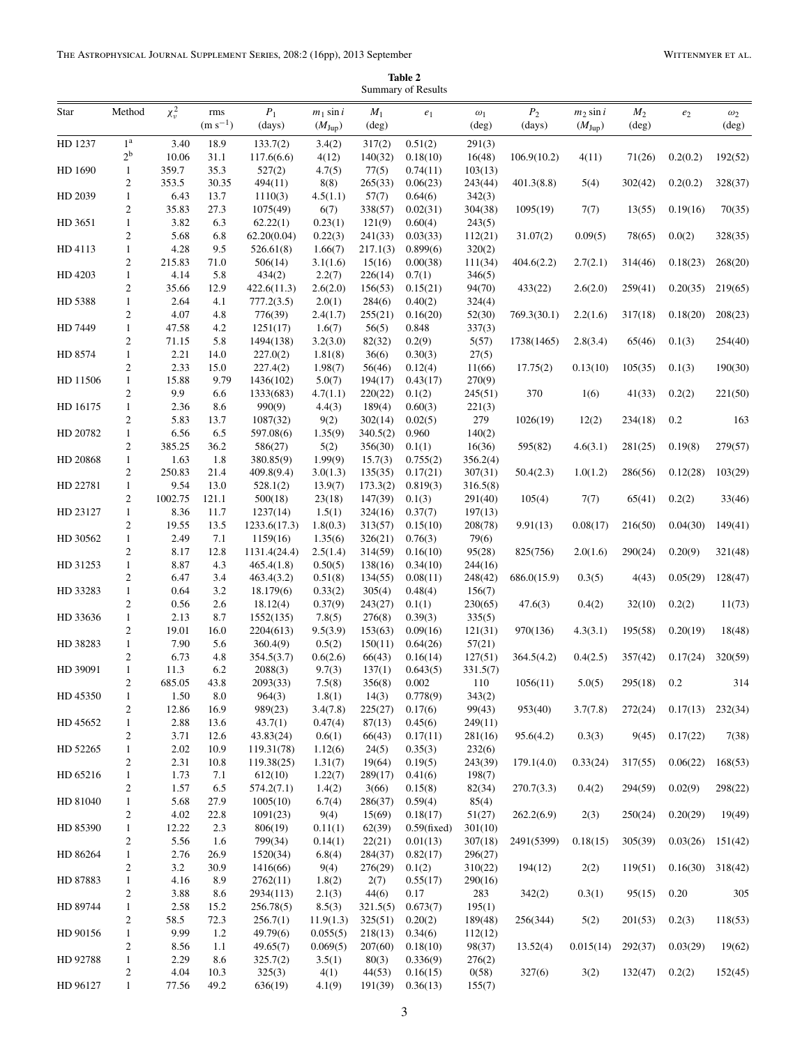**Table 2** Summary of Results

<span id="page-2-0"></span>

| Star     | Method                                  | $\chi^2_\nu$  | rms<br>$(m s^{-1})$ | $P_1$              | $m_1$ sin i        | $M_1$           | $e_1$                | $\omega_1$     | P <sub>2</sub> | $m_2$ sin i        | $M_2$          | $\mathfrak{e}_2$ | $\omega_2$     |
|----------|-----------------------------------------|---------------|---------------------|--------------------|--------------------|-----------------|----------------------|----------------|----------------|--------------------|----------------|------------------|----------------|
|          |                                         |               |                     | (days)             | $(M_{\text{Jup}})$ | $(\text{deg})$  |                      | $(\text{deg})$ | (days)         | $(M_{\text{Jup}})$ | $(\text{deg})$ |                  | $(\text{deg})$ |
| HD 1237  | 1 <sup>a</sup>                          | 3.40          | 18.9                | 133.7(2)           | 3.4(2)             | 317(2)          | 0.51(2)              | 291(3)         |                |                    |                |                  |                |
|          | $2^{\rm b}$                             | 10.06         | 31.1                | 117.6(6.6)         | 4(12)              | 140(32)         | 0.18(10)             | 16(48)         | 106.9(10.2)    | 4(11)              | 71(26)         | 0.2(0.2)         | 192(52)        |
| HD 1690  | $\mathbf{1}$                            | 359.7         | 35.3                | 527(2)             | 4.7(5)             | 77(5)           | 0.74(11)             | 103(13)        |                |                    |                |                  |                |
|          | $\overline{c}$                          | 353.5         | 30.35               | 494(11)            | 8(8)               | 265(33)         | 0.06(23)             | 243(44)        | 401.3(8.8)     | 5(4)               | 302(42)        | 0.2(0.2)         | 328(37)        |
| HD 2039  | $\mathbf{1}$                            | 6.43          | 13.7                | 1110(3)            | 4.5(1.1)           | 57(7)           | 0.64(6)              | 342(3)         |                |                    |                |                  |                |
|          | $\overline{c}$                          | 35.83         | 27.3                | 1075(49)           | 6(7)               | 338(57)         | 0.02(31)             | 304(38)        | 1095(19)       | 7(7)               | 13(55)         | 0.19(16)         | 70(35)         |
| HD 3651  | $\mathbf{1}$                            | 3.82          | 6.3                 | 62.22(1)           | 0.23(1)            | 121(9)          | 0.60(4)              | 243(5)         |                |                    |                |                  |                |
|          | $\mathfrak{2}$                          | 5.68          | 6.8                 | 62.20(0.04)        | 0.22(3)            | 241(33)         | 0.03(33)             | 112(21)        | 31.07(2)       | 0.09(5)            | 78(65)         | 0.0(2)           | 328(35)        |
| HD 4113  | $\mathbf{1}$                            | 4.28          | 9.5                 | 526.61(8)          | 1.66(7)            | 217.1(3)        | 0.899(6)             | 320(2)         |                |                    |                |                  |                |
|          | $\sqrt{2}$                              | 215.83        | 71.0                | 506(14)            | 3.1(1.6)           | 15(16)          | 0.00(38)             | 111(34)        | 404.6(2.2)     | 2.7(2.1)           | 314(46)        | 0.18(23)         | 268(20)        |
| HD 4203  | $\mathbf{1}$                            | 4.14          | 5.8                 | 434(2)             | 2.2(7)             | 226(14)         | 0.7(1)               | 346(5)         |                |                    |                |                  |                |
|          | $\overline{c}$                          | 35.66         | 12.9                | 422.6(11.3)        | 2.6(2.0)           | 156(53)         | 0.15(21)             | 94(70)         | 433(22)        | 2.6(2.0)           | 259(41)        | 0.20(35)         | 219(65)        |
| HD 5388  | $\mathbf{1}$                            | 2.64          | 4.1                 | 777.2(3.5)         | 2.0(1)             | 284(6)          | 0.40(2)              | 324(4)         |                |                    |                |                  |                |
|          | $\mathfrak{2}$                          | 4.07          | 4.8                 | 776(39)            | 2.4(1.7)           | 255(21)         | 0.16(20)             | 52(30)         | 769.3(30.1)    | 2.2(1.6)           | 317(18)        | 0.18(20)         | 208(23)        |
| HD 7449  | $\mathbf{1}$                            | 47.58         | 4.2                 | 1251(17)           | 1.6(7)             | 56(5)           | 0.848                | 337(3)         |                |                    |                |                  |                |
|          | $\sqrt{2}$                              | 71.15         | 5.8                 | 1494(138)          | 3.2(3.0)           | 82(32)          | 0.2(9)               | 5(57)          | 1738(1465)     | 2.8(3.4)           | 65(46)         | 0.1(3)           | 254(40)        |
| HD 8574  | $\mathbf{1}$                            | 2.21          | 14.0                | 227.0(2)           | 1.81(8)            | 36(6)           | 0.30(3)              | 27(5)          |                |                    |                |                  |                |
|          | $\overline{c}$                          | 2.33          | 15.0                | 227.4(2)           | 1.98(7)            | 56(46)          | 0.12(4)              | 11(66)         | 17.75(2)       | 0.13(10)           | 105(35)        | 0.1(3)           | 190(30)        |
| HD 11506 | $\mathbf{1}$                            | 15.88         | 9.79                | 1436(102)          | 5.0(7)             | 194(17)         | 0.43(17)             | 270(9)         |                |                    |                |                  |                |
|          | $\overline{c}$                          | 9.9           | 6.6                 | 1333(683)          | 4.7(1.1)           | 220(22)         | 0.1(2)               | 245(51)        | 370            | 1(6)               | 41(33)         | 0.2(2)           | 221(50)        |
| HD 16175 | $\mathbf{1}$                            | 2.36          | 8.6                 | 990(9)             | 4.4(3)             | 189(4)          | 0.60(3)              | 221(3)         |                |                    |                |                  |                |
|          | $\overline{c}$                          | 5.83          | 13.7                | 1087(32)           | 9(2)               | 302(14)         | 0.02(5)              | 279            | 1026(19)       | 12(2)              | 234(18)        | 0.2              | 163            |
| HD 20782 | $\mathbf{1}$                            | 6.56          | 6.5                 | 597.08(6)          | 1.35(9)            | 340.5(2)        | 0.960                | 140(2)         |                |                    |                |                  |                |
|          | $\mathfrak{2}$                          | 385.25        | 36.2                | 586(27)            | 5(2)               | 356(30)         | 0.1(1)               | 16(36)         | 595(82)        | 4.6(3.1)           | 281(25)        | 0.19(8)          | 279(57)        |
| HD 20868 | $\mathbf{1}$                            | 1.63          | 1.8                 | 380.85(9)          | 1.99(9)            | 15.7(3)         | 0.755(2)             | 356.2(4)       |                |                    |                |                  |                |
|          | $\overline{c}$                          | 250.83        | 21.4                | 409.8(9.4)         | 3.0(1.3)           | 135(35)         | 0.17(21)             | 307(31)        | 50.4(2.3)      | 1.0(1.2)           | 286(56)        | 0.12(28)         | 103(29)        |
| HD 22781 | $\mathbf{1}$                            | 9.54          | 13.0                | 528.1(2)           | 13.9(7)            | 173.3(2)        | 0.819(3)             | 316.5(8)       |                |                    |                |                  |                |
|          | $\overline{c}$                          | 1002.75       | 121.1               | 500(18)            | 23(18)             | 147(39)         | 0.1(3)               | 291(40)        | 105(4)         | 7(7)               | 65(41)         | 0.2(2)           | 33(46)         |
| HD 23127 | $\mathbf{1}$                            | 8.36          | 11.7                | 1237(14)           | 1.5(1)             | 324(16)         | 0.37(7)              | 197(13)        |                |                    |                |                  |                |
|          | $\mathfrak{2}$                          | 19.55         | 13.5                | 1233.6(17.3)       | 1.8(0.3)           | 313(57)         | 0.15(10)             | 208(78)        | 9.91(13)       | 0.08(17)           | 216(50)        | 0.04(30)         | 149(41)        |
| HD 30562 | $\mathbf{1}$                            | 2.49          | 7.1                 | 1159(16)           | 1.35(6)            | 326(21)         | 0.76(3)              | 79(6)          |                |                    |                |                  |                |
|          | $\mathbf{2}$                            | 8.17          | 12.8                | 1131.4(24.4)       | 2.5(1.4)           | 314(59)         | 0.16(10)             | 95(28)         | 825(756)       | 2.0(1.6)           | 290(24)        | 0.20(9)          | 321(48)        |
| HD 31253 | $\mathbf{1}$                            | 8.87          | 4.3                 | 465.4(1.8)         | 0.50(5)            | 138(16)         | 0.34(10)             | 244(16)        |                |                    |                |                  |                |
|          | $\overline{c}$                          | 6.47          | 3.4                 | 463.4(3.2)         | 0.51(8)            | 134(55)         | 0.08(11)             | 248(42)        | 686.0(15.9)    | 0.3(5)             | 4(43)          | 0.05(29)         | 128(47)        |
| HD 33283 | $\mathbf{1}$                            | 0.64          | 3.2                 | 18.179(6)          | 0.33(2)            | 305(4)          | 0.48(4)              | 156(7)         |                |                    |                |                  |                |
|          | $\overline{c}$                          | 0.56          | 2.6                 | 18.12(4)           | 0.37(9)            | 243(27)         | 0.1(1)               | 230(65)        | 47.6(3)        | 0.4(2)             | 32(10)         | 0.2(2)           | 11(73)         |
| HD 33636 | $\mathbf{1}$<br>$\sqrt{2}$              | 2.13<br>19.01 | 8.7                 | 1552(135)          | 7.8(5)             | 276(8)          | 0.39(3)              | 335(5)         |                |                    |                |                  |                |
|          |                                         |               | 16.0                | 2204(613)          | 9.5(3.9)           | 153(63)         | 0.09(16)             | 121(31)        | 970(136)       | 4.3(3.1)           | 195(58)        | 0.20(19)         | 18(48)         |
| HD 38283 | $\mathbf{1}$                            | 7.90          | 5.6                 | 360.4(9)           | 0.5(2)             | 150(11)         | 0.64(26)             | 57(21)         |                |                    |                |                  |                |
| HD 39091 | $\overline{c}$<br>$\mathbf{1}$          | 6.73<br>11.3  | 4.8<br>6.2          | 354.5(3.7)         | 0.6(2.6)           | 66(43)          | 0.16(14)<br>0.643(5) | 127(51)        | 364.5(4.2)     | 0.4(2.5)           | 357(42)        | 0.17(24)         | 320(59)        |
|          | $\overline{c}$                          | 685.05        | 43.8                | 2088(3)            | 9.7(3)             | 137(1)          | 0.002                | 331.5(7)       |                |                    |                | 0.2              | 314            |
| HD 45350 | $\mathbf{1}$                            | 1.50          | 8.0                 | 2093(33)<br>964(3) | 7.5(8)<br>1.8(1)   | 356(8)<br>14(3) | 0.778(9)             | 110<br>343(2)  | 1056(11)       | 5.0(5)             | 295(18)        |                  |                |
|          |                                         | 12.86         | 16.9                | 989(23)            | 3.4(7.8)           | 225(27)         | 0.17(6)              | 99(43)         | 953(40)        | 3.7(7.8)           | 272(24)        | 0.17(13)         | 232(34)        |
| HD 45652 | $\overline{\mathbf{c}}$<br>$\mathbf{1}$ | 2.88          | 13.6                | 43.7(1)            | 0.47(4)            | 87(13)          | 0.45(6)              | 249(11)        |                |                    |                |                  |                |
|          | $\overline{c}$                          | 3.71          | 12.6                | 43.83(24)          | 0.6(1)             | 66(43)          | 0.17(11)             | 281(16)        | 95.6(4.2)      | 0.3(3)             | 9(45)          | 0.17(22)         | 7(38)          |
| HD 52265 | $\mathbf{1}$                            | 2.02          | 10.9                | 119.31(78)         | 1.12(6)            | 24(5)           | 0.35(3)              | 232(6)         |                |                    |                |                  |                |
|          | $\overline{c}$                          | 2.31          | 10.8                | 119.38(25)         | 1.31(7)            | 19(64)          | 0.19(5)              | 243(39)        | 179.1(4.0)     | 0.33(24)           | 317(55)        | 0.06(22)         | 168(53)        |
| HD 65216 | $\mathbf{1}$                            | 1.73          | 7.1                 | 612(10)            | 1.22(7)            | 289(17)         | 0.41(6)              | 198(7)         |                |                    |                |                  |                |
|          | $\overline{c}$                          | 1.57          | 6.5                 | 574.2(7.1)         | 1.4(2)             | 3(66)           | 0.15(8)              | 82(34)         | 270.7(3.3)     | 0.4(2)             | 294(59)        | 0.02(9)          | 298(22)        |
| HD 81040 | $\mathbf{1}$                            | 5.68          | 27.9                | 1005(10)           | 6.7(4)             | 286(37)         | 0.59(4)              | 85(4)          |                |                    |                |                  |                |
|          | $\overline{c}$                          | 4.02          | 22.8                | 1091(23)           | 9(4)               | 15(69)          | 0.18(17)             | 51(27)         | 262.2(6.9)     | 2(3)               | 250(24)        | 0.20(29)         | 19(49)         |
| HD 85390 | $\mathbf{1}$                            | 12.22         | 2.3                 | 806(19)            | 0.11(1)            | 62(39)          | $0.59$ (fixed)       | 301(10)        |                |                    |                |                  |                |
|          | $\overline{\mathbf{c}}$                 | 5.56          | 1.6                 | 799(34)            | 0.14(1)            | 22(21)          | 0.01(13)             | 307(18)        | 2491(5399)     | 0.18(15)           | 305(39)        | 0.03(26)         | 151(42)        |
| HD 86264 | $\mathbf{1}$                            | 2.76          | 26.9                | 1520(34)           | 6.8(4)             | 284(37)         | 0.82(17)             | 296(27)        |                |                    |                |                  |                |
|          | $\overline{c}$                          | 3.2           | 30.9                | 1416(66)           | 9(4)               | 276(29)         | 0.1(2)               | 310(22)        | 194(12)        | 2(2)               | 119(51)        | 0.16(30)         | 318(42)        |
| HD 87883 | $\mathbf{1}$                            | 4.16          | 8.9                 | 2762(11)           | 1.8(2)             | 2(7)            | 0.55(17)             | 290(16)        |                |                    |                |                  |                |
|          | $\overline{c}$                          | 3.88          | 8.6                 | 2934(113)          | 2.1(3)             | 44(6)           | 0.17                 | 283            | 342(2)         | 0.3(1)             | 95(15)         | 0.20             | 305            |
| HD 89744 | $\mathbf{1}$                            | 2.58          | 15.2                | 256.78(5)          | 8.5(3)             | 321.5(5)        | 0.673(7)             | 195(1)         |                |                    |                |                  |                |
|          | $\overline{\mathbf{c}}$                 | 58.5          | 72.3                | 256.7(1)           | 11.9(1.3)          | 325(51)         | 0.20(2)              | 189(48)        | 256(344)       | 5(2)               | 201(53)        | 0.2(3)           | 118(53)        |
| HD 90156 | $\mathbf{1}$                            | 9.99          | 1.2                 | 49.79(6)           | 0.055(5)           | 218(13)         | 0.34(6)              | 112(12)        |                |                    |                |                  |                |
|          | $\overline{c}$                          | 8.56          | 1.1                 | 49.65(7)           | 0.069(5)           | 207(60)         | 0.18(10)             | 98(37)         | 13.52(4)       | 0.015(14)          | 292(37)        | 0.03(29)         | 19(62)         |
| HD 92788 | $\mathbf{1}$                            | 2.29          | 8.6                 | 325.7(2)           | 3.5(1)             | 80(3)           | 0.336(9)             | 276(2)         |                |                    |                |                  |                |
|          | $\overline{c}$                          | 4.04          | 10.3                | 325(3)             | 4(1)               | 44(53)          | 0.16(15)             | 0(58)          | 327(6)         | 3(2)               | 132(47)        | 0.2(2)           | 152(45)        |
| HD 96127 | $\mathbf{1}$                            | 77.56         | 49.2                | 636(19)            | 4.1(9)             | 191(39)         | 0.36(13)             | 155(7)         |                |                    |                |                  |                |
|          |                                         |               |                     |                    |                    |                 |                      |                |                |                    |                |                  |                |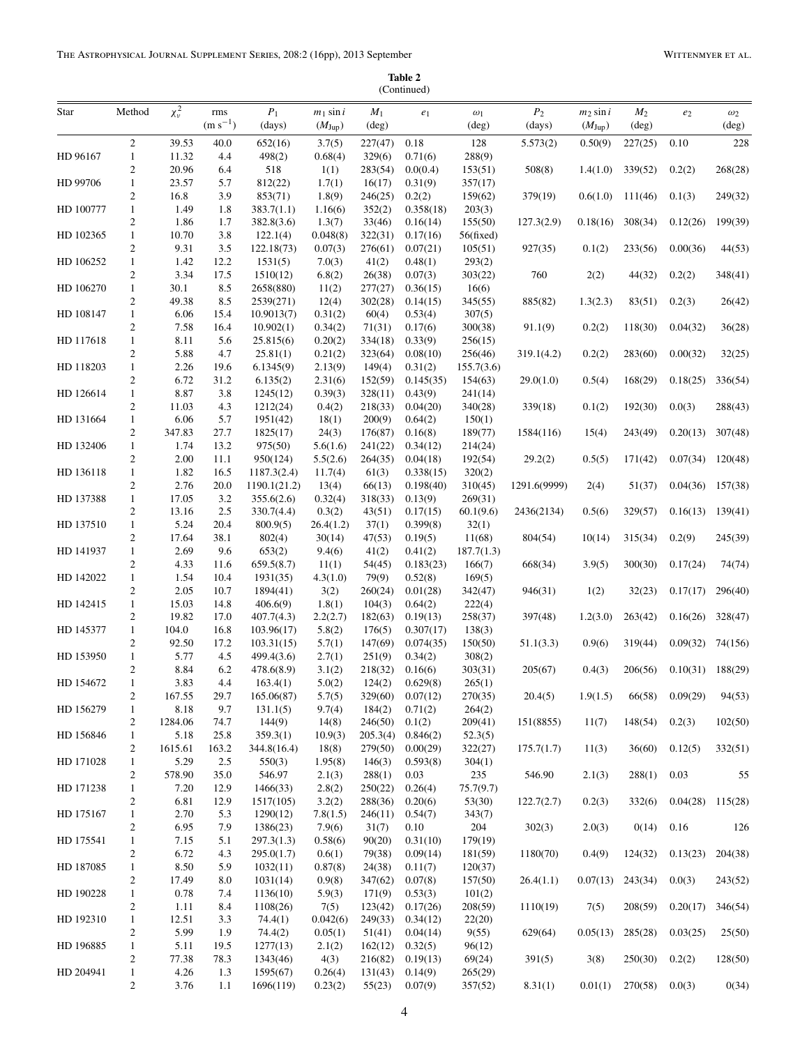**Table 2** (Continued)

| Star      | Method                                  | $\chi^2_\nu$   | rms<br>$(m s^{-1})$ | $P_1$<br>(days)             | $m_1$ sin i<br>$(M_{\text{Jup}})$ | $M_1$<br>$(\text{deg})$ | $\mathfrak{e}_1$       | $\omega_1$<br>$(\text{deg})$ | P <sub>2</sub><br>(days) | $m_2$ sin i<br>$(M_{\text{Jup}})$ | $M_2$<br>$(\text{deg})$ | e <sub>2</sub> | $\omega_2$<br>$(\text{deg})$ |
|-----------|-----------------------------------------|----------------|---------------------|-----------------------------|-----------------------------------|-------------------------|------------------------|------------------------------|--------------------------|-----------------------------------|-------------------------|----------------|------------------------------|
|           | $\sqrt{2}$                              | 39.53          | 40.0                | 652(16)                     | 3.7(5)                            | 227(47)                 | 0.18                   | 128                          | 5.573(2)                 | 0.50(9)                           | 227(25)                 | 0.10           | 228                          |
| HD 96167  | $\mathbf{1}$                            | 11.32          | 4.4                 | 498(2)                      | 0.68(4)                           | 329(6)                  | 0.71(6)                | 288(9)                       |                          |                                   |                         |                |                              |
|           | $\sqrt{2}$                              | 20.96          | 6.4                 | 518                         | 1(1)                              | 283(54)                 | 0.0(0.4)               | 153(51)                      | 508(8)                   | 1.4(1.0)                          | 339(52)                 | 0.2(2)         | 268(28)                      |
| HD 99706  | $\mathbf{1}$<br>$\sqrt{2}$              | 23.57<br>16.8  | 5.7<br>3.9          | 812(22)<br>853(71)          | 1.7(1)<br>1.8(9)                  | 16(17)<br>246(25)       | 0.31(9)<br>0.2(2)      | 357(17)<br>159(62)           | 379(19)                  | 0.6(1.0)                          | 111(46)                 | 0.1(3)         | 249(32)                      |
| HD 100777 | $\mathbf{1}$                            | 1.49           | 1.8                 | 383.7(1.1)                  | 1.16(6)                           | 352(2)                  | 0.358(18)              | 203(3)                       |                          |                                   |                         |                |                              |
|           | $\sqrt{2}$                              | 1.86           | 1.7                 | 382.8(3.6)                  | 1.3(7)                            | 33(46)                  | 0.16(14)               | 155(50)                      | 127.3(2.9)               | 0.18(16)                          | 308(34)                 | 0.12(26)       | 199(39)                      |
| HD 102365 | $\mathbf{1}$                            | 10.70          | 3.8                 | 122.1(4)                    | 0.048(8)                          | 322(31)                 | 0.17(16)               | $56$ (fixed)                 |                          |                                   |                         |                |                              |
| HD 106252 | $\sqrt{2}$<br>$\mathbf{1}$              | 9.31<br>1.42   | 3.5<br>12.2         | 122.18(73)<br>1531(5)       | 0.07(3)<br>7.0(3)                 | 276(61)<br>41(2)        | 0.07(21)<br>0.48(1)    | 105(51)<br>293(2)            | 927(35)                  | 0.1(2)                            | 233(56)                 | 0.00(36)       | 44(53)                       |
|           | $\mathbf{2}$                            | 3.34           | 17.5                | 1510(12)                    | 6.8(2)                            | 26(38)                  | 0.07(3)                | 303(22)                      | 760                      | 2(2)                              | 44(32)                  | 0.2(2)         | 348(41)                      |
| HD 106270 | $\mathbf{1}$                            | 30.1           | 8.5                 | 2658(880)                   | 11(2)                             | 277(27)                 | 0.36(15)               | 16(6)                        |                          |                                   |                         |                |                              |
|           | $\mathfrak{2}$                          | 49.38          | 8.5                 | 2539(271)                   | 12(4)                             | 302(28)                 | 0.14(15)               | 345(55)                      | 885(82)                  | 1.3(2.3)                          | 83(51)                  | 0.2(3)         | 26(42)                       |
| HD 108147 | $\mathbf{1}$                            | 6.06<br>7.58   | 15.4                | 10.9013(7)                  | 0.31(2)                           | 60(4)                   | 0.53(4)                | 307(5)                       |                          |                                   |                         |                |                              |
| HD 117618 | $\sqrt{2}$<br>$\mathbf{1}$              | 8.11           | 16.4<br>5.6         | 10.902(1)<br>25.815(6)      | 0.34(2)<br>0.20(2)                | 71(31)<br>334(18)       | 0.17(6)<br>0.33(9)     | 300(38)<br>256(15)           | 91.1(9)                  | 0.2(2)                            | 118(30)                 | 0.04(32)       | 36(28)                       |
|           | $\sqrt{2}$                              | 5.88           | 4.7                 | 25.81(1)                    | 0.21(2)                           | 323(64)                 | 0.08(10)               | 256(46)                      | 319.1(4.2)               | 0.2(2)                            | 283(60)                 | 0.00(32)       | 32(25)                       |
| HD 118203 | $\mathbf{1}$                            | 2.26           | 19.6                | 6.1345(9)                   | 2.13(9)                           | 149(4)                  | 0.31(2)                | 155.7(3.6)                   |                          |                                   |                         |                |                              |
|           | $\sqrt{2}$                              | 6.72           | 31.2                | 6.135(2)                    | 2.31(6)                           | 152(59)                 | 0.145(35)              | 154(63)                      | 29.0(1.0)                | 0.5(4)                            | 168(29)                 | 0.18(25)       | 336(54)                      |
| HD 126614 | $\mathbf{1}$<br>$\sqrt{2}$              | 8.87<br>11.03  | 3.8<br>4.3          | 1245(12)<br>1212(24)        | 0.39(3)<br>0.4(2)                 | 328(11)<br>218(33)      | 0.43(9)<br>0.04(20)    | 241(14)<br>340(28)           | 339(18)                  | 0.1(2)                            | 192(30)                 | 0.0(3)         | 288(43)                      |
| HD 131664 | $\mathbf{1}$                            | 6.06           | 5.7                 | 1951(42)                    | 18(1)                             | 200(9)                  | 0.64(2)                | 150(1)                       |                          |                                   |                         |                |                              |
|           | $\sqrt{2}$                              | 347.83         | 27.7                | 1825(17)                    | 24(3)                             | 176(87)                 | 0.16(8)                | 189(77)                      | 1584(116)                | 15(4)                             | 243(49)                 | 0.20(13)       | 307(48)                      |
| HD 132406 | $\mathbf{1}$                            | 1.74           | 13.2                | 975(50)                     | 5.6(1.6)                          | 241(22)                 | 0.34(12)               | 214(24)                      |                          |                                   |                         |                |                              |
|           | $\sqrt{2}$                              | 2.00           | 11.1                | 950(124)                    | 5.5(2.6)                          | 264(35)                 | 0.04(18)               | 192(54)                      | 29.2(2)                  | 0.5(5)                            | 171(42)                 | 0.07(34)       | 120(48)                      |
| HD 136118 | $\mathbf{1}$<br>$\overline{c}$          | 1.82<br>2.76   | 16.5<br>20.0        | 1187.3(2.4)<br>1190.1(21.2) | 11.7(4)<br>13(4)                  | 61(3)<br>66(13)         | 0.338(15)<br>0.198(40) | 320(2)<br>310(45)            | 1291.6(9999)             | 2(4)                              | 51(37)                  | 0.04(36)       | 157(38)                      |
| HD 137388 | $\mathbf{1}$                            | 17.05          | 3.2                 | 355.6(2.6)                  | 0.32(4)                           | 318(33)                 | 0.13(9)                | 269(31)                      |                          |                                   |                         |                |                              |
|           | $\boldsymbol{2}$                        | 13.16          | 2.5                 | 330.7(4.4)                  | 0.3(2)                            | 43(51)                  | 0.17(15)               | 60.1(9.6)                    | 2436(2134)               | 0.5(6)                            | 329(57)                 | 0.16(13)       | 139(41)                      |
| HD 137510 | $\mathbf{1}$                            | 5.24           | 20.4                | 800.9(5)                    | 26.4(1.2)                         | 37(1)                   | 0.399(8)               | 32(1)                        |                          |                                   |                         |                |                              |
|           | $\mathfrak{2}$                          | 17.64          | 38.1                | 802(4)                      | 30(14)                            | 47(53)                  | 0.19(5)                | 11(68)                       | 804(54)                  | 10(14)                            | 315(34)                 | 0.2(9)         | 245(39)                      |
| HD 141937 | $\mathbf{1}$<br>$\overline{c}$          | 2.69<br>4.33   | 9.6<br>11.6         | 653(2)<br>659.5(8.7)        | 9.4(6)<br>11(1)                   | 41(2)<br>54(45)         | 0.41(2)<br>0.183(23)   | 187.7(1.3)<br>166(7)         | 668(34)                  | 3.9(5)                            | 300(30)                 | 0.17(24)       | 74(74)                       |
| HD 142022 | $\mathbf{1}$                            | 1.54           | 10.4                | 1931(35)                    | 4.3(1.0)                          | 79(9)                   | 0.52(8)                | 169(5)                       |                          |                                   |                         |                |                              |
|           | $\sqrt{2}$                              | 2.05           | 10.7                | 1894(41)                    | 3(2)                              | 260(24)                 | 0.01(28)               | 342(47)                      | 946(31)                  | 1(2)                              | 32(23)                  | 0.17(17)       | 296(40)                      |
| HD 142415 | $\mathbf{1}$                            | 15.03          | 14.8                | 406.6(9)                    | 1.8(1)                            | 104(3)                  | 0.64(2)                | 222(4)                       |                          |                                   |                         |                |                              |
| HD 145377 | $\sqrt{2}$<br>$\mathbf{1}$              | 19.82<br>104.0 | 17.0<br>16.8        | 407.7(4.3)<br>103.96(17)    | 2.2(2.7)<br>5.8(2)                | 182(63)<br>176(5)       | 0.19(13)<br>0.307(17)  | 258(37)<br>138(3)            | 397(48)                  | 1.2(3.0)                          | 263(42)                 | 0.16(26)       | 328(47)                      |
|           | $\overline{c}$                          | 92.50          | 17.2                | 103.31(15)                  | 5.7(1)                            | 147(69)                 | 0.074(35)              | 150(50)                      | 51.1(3.3)                | 0.9(6)                            | 319(44)                 | 0.09(32)       | 74(156)                      |
| HD 153950 | $\mathbf{1}$                            | 5.77           | 4.5                 | 499.4(3.6)                  | 2.7(1)                            | 251(9)                  | 0.34(2)                | 308(2)                       |                          |                                   |                         |                |                              |
|           | $\mathfrak{2}$                          | 8.84           | 6.2                 | 478.6(8.9)                  | 3.1(2)                            | 218(32)                 | 0.16(6)                | 303(31)                      | 205(67)                  | 0.4(3)                            | 206(56)                 | 0.10(31)       | 188(29)                      |
| HD 154672 | $\mathbf{1}$                            | 3.83           | 4.4                 | 163.4(1)                    | 5.0(2)                            | 124(2)                  | 0.629(8)               | 265(1)                       |                          |                                   |                         |                |                              |
| HD 156279 | $\overline{\mathbf{c}}$<br>$\mathbf{1}$ | 167.55<br>8.18 | 29.7<br>9.7         | 165.06(87)<br>131.1(5)      | 5.7(5)<br>9.7(4)                  | 329(60)<br>184(2)       | 0.07(12)<br>0.71(2)    | 270(35)<br>264(2)            | 20.4(5)                  | 1.9(1.5)                          | 66(58)                  | 0.09(29)       | 94(53)                       |
|           | $\overline{c}$                          | 1284.06        | 74.7                | 144(9)                      | 14(8)                             | 246(50)                 | 0.1(2)                 | 209(41)                      | 151(8855)                | 11(7)                             | 148(54)                 | 0.2(3)         | 102(50)                      |
| HD 156846 | $\mathbf{1}$                            | 5.18           | 25.8                | 359.3(1)                    | 10.9(3)                           | 205.3(4)                | 0.846(2)               | 52.3(5)                      |                          |                                   |                         |                |                              |
|           | $\boldsymbol{2}$                        | 1615.61        | 163.2               | 344.8(16.4)                 | 18(8)                             | 279(50)                 | 0.00(29)               | 322(27)                      | 175.7(1.7)               | 11(3)                             | 36(60)                  | 0.12(5)        | 332(51)                      |
| HD 171028 | $\mathbf{1}$<br>$\overline{c}$          | 5.29<br>578.90 | 2.5<br>35.0         | 550(3)<br>546.97            | 1.95(8)<br>2.1(3)                 | 146(3)<br>288(1)        | 0.593(8)<br>0.03       | 304(1)<br>235                | 546.90                   | 2.1(3)                            | 288(1)                  | 0.03           | 55                           |
| HD 171238 | $\mathbf{1}$                            | 7.20           | 12.9                | 1466(33)                    | 2.8(2)                            | 250(22)                 | 0.26(4)                | 75.7(9.7)                    |                          |                                   |                         |                |                              |
|           | $\boldsymbol{2}$                        | 6.81           | 12.9                | 1517(105)                   | 3.2(2)                            | 288(36)                 | 0.20(6)                | 53(30)                       | 122.7(2.7)               | 0.2(3)                            | 332(6)                  | 0.04(28)       | 115(28)                      |
| HD 175167 | $\mathbf{1}$                            | 2.70           | 5.3                 | 1290(12)                    | 7.8(1.5)                          | 246(11)                 | 0.54(7)                | 343(7)                       |                          |                                   |                         |                |                              |
|           | $\overline{c}$                          | 6.95           | 7.9                 | 1386(23)                    | 7.9(6)                            | 31(7)                   | 0.10                   | 204                          | 302(3)                   | 2.0(3)                            | 0(14)                   | 0.16           | 126                          |
| HD 175541 | $\mathbf{1}$<br>$\overline{c}$          | 7.15<br>6.72   | 5.1<br>4.3          | 297.3(1.3)<br>295.0(1.7)    | 0.58(6)<br>0.6(1)                 | 90(20)<br>79(38)        | 0.31(10)<br>0.09(14)   | 179(19)<br>181(59)           | 1180(70)                 | 0.4(9)                            | 124(32)                 | 0.13(23)       | 204(38)                      |
| HD 187085 | $\mathbf{1}$                            | 8.50           | 5.9                 | 1032(11)                    | 0.87(8)                           | 24(38)                  | 0.11(7)                | 120(37)                      |                          |                                   |                         |                |                              |
|           | $\boldsymbol{2}$                        | 17.49          | 8.0                 | 1031(14)                    | 0.9(8)                            | 347(62)                 | 0.07(8)                | 157(50)                      | 26.4(1.1)                | 0.07(13)                          | 243(34)                 | 0.0(3)         | 243(52)                      |
| HD 190228 | $\mathbf{1}$                            | 0.78           | 7.4                 | 1136(10)                    | 5.9(3)                            | 171(9)                  | 0.53(3)                | 101(2)                       |                          |                                   |                         |                |                              |
| HD 192310 | $\overline{c}$<br>$\mathbf{1}$          | 1.11<br>12.51  | 8.4<br>3.3          | 1108(26)<br>74.4(1)         | 7(5)<br>0.042(6)                  | 123(42)<br>249(33)      | 0.17(26)<br>0.34(12)   | 208(59)<br>22(20)            | 1110(19)                 | 7(5)                              | 208(59)                 | 0.20(17)       | 346(54)                      |
|           | $\overline{c}$                          | 5.99           | 1.9                 | 74.4(2)                     | 0.05(1)                           | 51(41)                  | 0.04(14)               | 9(55)                        | 629(64)                  | 0.05(13)                          | 285(28)                 | 0.03(25)       | 25(50)                       |
| HD 196885 | $\mathbf{1}$                            | 5.11           | 19.5                | 1277(13)                    | 2.1(2)                            | 162(12)                 | 0.32(5)                | 96(12)                       |                          |                                   |                         |                |                              |
|           | $\overline{c}$                          | 77.38          | 78.3                | 1343(46)                    | 4(3)                              | 216(82)                 | 0.19(13)               | 69(24)                       | 391(5)                   | 3(8)                              | 250(30)                 | 0.2(2)         | 128(50)                      |
| HD 204941 | $\mathbf{1}$                            | 4.26           | 1.3                 | 1595(67)                    | 0.26(4)                           | 131(43)                 | 0.14(9)                | 265(29)                      |                          |                                   |                         |                |                              |
|           | $\sqrt{2}$                              | 3.76           | 1.1                 | 1696(119)                   | 0.23(2)                           | 55(23)                  | 0.07(9)                | 357(52)                      | 8.31(1)                  | 0.01(1)                           | 270(58)                 | 0.0(3)         | 0(34)                        |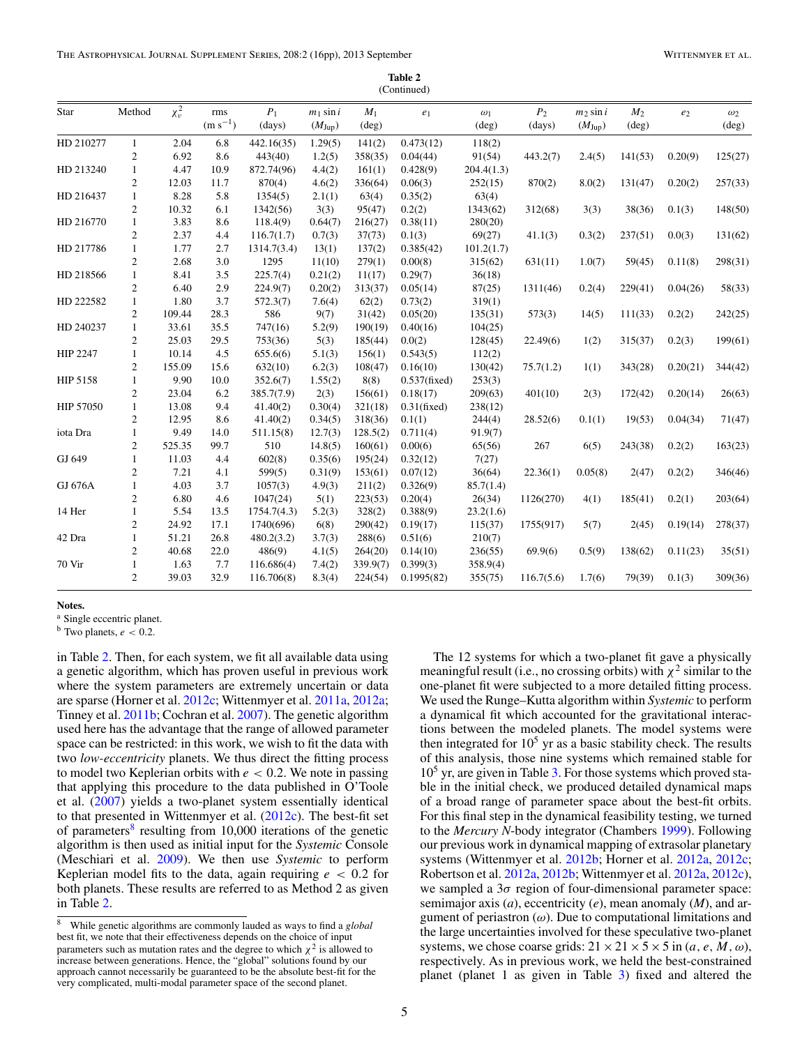|                | (Continued)      |              |                     |                 |                                   |                         |                 |                              |                          |                                   |                                  |                |                              |
|----------------|------------------|--------------|---------------------|-----------------|-----------------------------------|-------------------------|-----------------|------------------------------|--------------------------|-----------------------------------|----------------------------------|----------------|------------------------------|
| Star           | Method           | $\chi^2_\nu$ | rms<br>$(m s^{-1})$ | $P_1$<br>(days) | $m_1$ sin i<br>$(M_{\text{Jup}})$ | $M_1$<br>$(\text{deg})$ | $e_1$           | $\omega_1$<br>$(\text{deg})$ | P <sub>2</sub><br>(days) | $m_2$ sin i<br>$(M_{\text{Jup}})$ | M <sub>2</sub><br>$(\text{deg})$ | e <sub>2</sub> | $\omega_2$<br>$(\text{deg})$ |
| HD 210277      | $\mathbf{1}$     | 2.04         | 6.8                 | 442.16(35)      | 1.29(5)                           | 141(2)                  | 0.473(12)       | 118(2)                       |                          |                                   |                                  |                |                              |
|                | $\boldsymbol{2}$ | 6.92         | 8.6                 | 443(40)         | 1.2(5)                            | 358(35)                 | 0.04(44)        | 91(54)                       | 443.2(7)                 | 2.4(5)                            | 141(53)                          | 0.20(9)        | 125(27)                      |
| HD 213240      | $\mathbf{1}$     | 4.47         | 10.9                | 872.74(96)      | 4.4(2)                            | 161(1)                  | 0.428(9)        | 204.4(1.3)                   |                          |                                   |                                  |                |                              |
|                | $\overline{2}$   | 12.03        | 11.7                | 870(4)          | 4.6(2)                            | 336(64)                 | 0.06(3)         | 252(15)                      | 870(2)                   | 8.0(2)                            | 131(47)                          | 0.20(2)        | 257(33)                      |
| HD 216437      | $\mathbf{1}$     | 8.28         | 5.8                 | 1354(5)         | 2.1(1)                            | 63(4)                   | 0.35(2)         | 63(4)                        |                          |                                   |                                  |                |                              |
|                | $\boldsymbol{2}$ | 10.32        | 6.1                 | 1342(56)        | 3(3)                              | 95(47)                  | 0.2(2)          | 1343(62)                     | 312(68)                  | 3(3)                              | 38(36)                           | 0.1(3)         | 148(50)                      |
| HD 216770      | $\mathbf{1}$     | 3.83         | 8.6                 | 118.4(9)        | 0.64(7)                           | 216(27)                 | 0.38(11)        | 280(20)                      |                          |                                   |                                  |                |                              |
|                | $\boldsymbol{2}$ | 2.37         | 4.4                 | 116.7(1.7)      | 0.7(3)                            | 37(73)                  | 0.1(3)          | 69(27)                       | 41.1(3)                  | 0.3(2)                            | 237(51)                          | 0.0(3)         | 131(62)                      |
| HD 217786      | $\mathbf{1}$     | 1.77         | 2.7                 | 1314.7(3.4)     | 13(1)                             | 137(2)                  | 0.385(42)       | 101.2(1.7)                   |                          |                                   |                                  |                |                              |
|                | $\boldsymbol{2}$ | 2.68         | 3.0                 | 1295            | 11(10)                            | 279(1)                  | 0.00(8)         | 315(62)                      | 631(11)                  | 1.0(7)                            | 59(45)                           | 0.11(8)        | 298(31)                      |
| HD 218566      | $\mathbf{1}$     | 8.41         | 3.5                 | 225.7(4)        | 0.21(2)                           | 11(17)                  | 0.29(7)         | 36(18)                       |                          |                                   |                                  |                |                              |
|                | $\sqrt{2}$       | 6.40         | 2.9                 | 224.9(7)        | 0.20(2)                           | 313(37)                 | 0.05(14)        | 87(25)                       | 1311(46)                 | 0.2(4)                            | 229(41)                          | 0.04(26)       | 58(33)                       |
| HD 222582      | $\mathbf{1}$     | 1.80         | 3.7                 | 572.3(7)        | 7.6(4)                            | 62(2)                   | 0.73(2)         | 319(1)                       |                          |                                   |                                  |                |                              |
|                | $\overline{c}$   | 109.44       | 28.3                | 586             | 9(7)                              | 31(42)                  | 0.05(20)        | 135(31)                      | 573(3)                   | 14(5)                             | 111(33)                          | 0.2(2)         | 242(25)                      |
| HD 240237      | $\mathbf{1}$     | 33.61        | 35.5                | 747(16)         | 5.2(9)                            | 190(19)                 | 0.40(16)        | 104(25)                      |                          |                                   |                                  |                |                              |
|                | $\boldsymbol{2}$ | 25.03        | 29.5                | 753(36)         | 5(3)                              | 185(44)                 | 0.0(2)          | 128(45)                      | 22.49(6)                 | 1(2)                              | 315(37)                          | 0.2(3)         | 199(61)                      |
| HIP 2247       | $\mathbf{1}$     | 10.14        | 4.5                 | 655.6(6)        | 5.1(3)                            | 156(1)                  | 0.543(5)        | 112(2)                       |                          |                                   |                                  |                |                              |
|                | $\boldsymbol{2}$ | 155.09       | 15.6                | 632(10)         | 6.2(3)                            | 108(47)                 | 0.16(10)        | 130(42)                      | 75.7(1.2)                | 1(1)                              | 343(28)                          | 0.20(21)       | 344(42)                      |
| HIP 5158       | $\mathbf{1}$     | 9.90         | 10.0                | 352.6(7)        | 1.55(2)                           | 8(8)                    | $0.537$ (fixed) | 253(3)                       |                          |                                   |                                  |                |                              |
|                | $\overline{c}$   | 23.04        | 6.2                 | 385.7(7.9)      | 2(3)                              | 156(61)                 | 0.18(17)        | 209(63)                      | 401(10)                  | 2(3)                              | 172(42)                          | 0.20(14)       | 26(63)                       |
| HIP 57050      | $\mathbf{1}$     | 13.08        | 9.4                 | 41.40(2)        | 0.30(4)                           | 321(18)                 | $0.31$ (fixed)  | 238(12)                      |                          |                                   |                                  |                |                              |
|                | $\sqrt{2}$       | 12.95        | 8.6                 | 41.40(2)        | 0.34(5)                           | 318(36)                 | 0.1(1)          | 244(4)                       | 28.52(6)                 | 0.1(1)                            | 19(53)                           | 0.04(34)       | 71(47)                       |
| iota Dra       | 1                | 9.49         | 14.0                | 511.15(8)       | 12.7(3)                           | 128.5(2)                | 0.711(4)        | 91.9(7)                      |                          |                                   |                                  |                |                              |
|                | $\mathbf{2}$     | 525.35       | 99.7                | 510             | 14.8(5)                           | 160(61)                 | 0.00(6)         | 65(56)                       | 267                      | 6(5)                              | 243(38)                          | 0.2(2)         | 163(23)                      |
| GJ 649         | $\mathbf{1}$     | 11.03        | 4.4                 | 602(8)          | 0.35(6)                           | 195(24)                 | 0.32(12)        | 7(27)                        |                          |                                   |                                  |                |                              |
|                | $\sqrt{2}$       | 7.21         | 4.1                 | 599(5)          | 0.31(9)                           | 153(61)                 | 0.07(12)        | 36(64)                       | 22.36(1)                 | 0.05(8)                           | 2(47)                            | 0.2(2)         | 346(46)                      |
| <b>GJ 676A</b> | $\mathbf{1}$     | 4.03         | 3.7                 | 1057(3)         | 4.9(3)                            | 211(2)                  | 0.326(9)        | 85.7(1.4)                    |                          |                                   |                                  |                |                              |
|                | $\boldsymbol{2}$ | 6.80         | 4.6                 | 1047(24)        | 5(1)                              | 223(53)                 | 0.20(4)         | 26(34)                       | 1126(270)                | 4(1)                              | 185(41)                          | 0.2(1)         | 203(64)                      |
| 14 Her         | $\mathbf{1}$     | 5.54         | 13.5                | 1754.7(4.3)     | 5.2(3)                            | 328(2)                  | 0.388(9)        | 23.2(1.6)                    |                          |                                   |                                  |                |                              |
|                | $\boldsymbol{2}$ | 24.92        | 17.1                | 1740(696)       | 6(8)                              | 290(42)                 | 0.19(17)        | 115(37)                      | 1755(917)                | 5(7)                              | 2(45)                            | 0.19(14)       | 278(37)                      |
| 42 Dra         | $\mathbf{1}$     | 51.21        | 26.8                | 480.2(3.2)      | 3.7(3)                            | 288(6)                  | 0.51(6)         | 210(7)                       |                          |                                   |                                  |                |                              |
|                | $\mathfrak{2}$   | 40.68        | 22.0                | 486(9)          | 4.1(5)                            | 264(20)                 | 0.14(10)        | 236(55)                      | 69.9(6)                  | 0.5(9)                            | 138(62)                          | 0.11(23)       | 35(51)                       |
| 70 Vir         | 1                | 1.63         | 7.7                 | 116.686(4)      | 7.4(2)                            | 339.9(7)                | 0.399(3)        | 358.9(4)                     |                          |                                   |                                  |                |                              |
|                | $\overline{2}$   | 39.03        | 32.9                | 116.706(8)      | 8.3(4)                            | 224(54)                 | 0.1995(82)      | 355(75)                      | 116.7(5.6)               | 1.7(6)                            | 79(39)                           | 0.1(3)         | 309(36)                      |

**Table 2**

**Notes.**

<sup>a</sup> Single eccentric planet.

<sup>b</sup> Two planets, *e <* 0*.*2.

in Table [2.](#page-2-0) Then, for each system, we fit all available data using a genetic algorithm, which has proven useful in previous work where the system parameters are extremely uncertain or data are sparse (Horner et al. [2012c;](#page-15-0) Wittenmyer et al. [2011a,](#page-15-0) [2012a;](#page-15-0) Tinney et al. [2011b;](#page-15-0) Cochran et al. [2007\)](#page-14-0). The genetic algorithm used here has the advantage that the range of allowed parameter space can be restricted: in this work, we wish to fit the data with two *low-eccentricity* planets. We thus direct the fitting process to model two Keplerian orbits with *e <* 0*.*2. We note in passing that applying this procedure to the data published in O'Toole et al. [\(2007\)](#page-15-0) yields a two-planet system essentially identical to that presented in Wittenmyer et al. [\(2012c\)](#page-15-0). The best-fit set of parameters $8$  resulting from 10,000 iterations of the genetic algorithm is then used as initial input for the *Systemic* Console (Meschiari et al. [2009\)](#page-15-0). We then use *Systemic* to perform Keplerian model fits to the data, again requiring *e <* 0*.*2 for both planets. These results are referred to as Method 2 as given in Table [2.](#page-2-0)

The 12 systems for which a two-planet fit gave a physically meaningful result (i.e., no crossing orbits) with  $\chi^2$  similar to the one-planet fit were subjected to a more detailed fitting process. We used the Runge–Kutta algorithm within *Systemic* to perform a dynamical fit which accounted for the gravitational interactions between the modeled planets. The model systems were then integrated for  $10<sup>5</sup>$  yr as a basic stability check. The results of this analysis, those nine systems which remained stable for  $10<sup>5</sup>$  yr, are given in Table [3.](#page-5-0) For those systems which proved stable in the initial check, we produced detailed dynamical maps of a broad range of parameter space about the best-fit orbits. For this final step in the dynamical feasibility testing, we turned to the *Mercury N*-body integrator (Chambers [1999\)](#page-14-0). Following our previous work in dynamical mapping of extrasolar planetary systems (Wittenmyer et al. [2012b;](#page-15-0) Horner et al. [2012a,](#page-15-0) [2012c;](#page-15-0) Robertson et al. [2012a,](#page-15-0) [2012b;](#page-15-0) Wittenmyer et al. [2012a,](#page-15-0) [2012c\)](#page-15-0), we sampled a 3*σ* region of four-dimensional parameter space: semimajor axis (*a*), eccentricity (*e*), mean anomaly (*M*), and argument of periastron (*ω*). Due to computational limitations and the large uncertainties involved for these speculative two-planet systems, we chose coarse grids:  $21 \times 21 \times 5 \times 5$  in (*a, e, M, ω*), respectively. As in previous work, we held the best-constrained planet (planet 1 as given in Table [3\)](#page-5-0) fixed and altered the

<sup>8</sup> While genetic algorithms are commonly lauded as ways to find a *global* best fit, we note that their effectiveness depends on the choice of input parameters such as mutation rates and the degree to which  $\chi^2$  is allowed to increase between generations. Hence, the "global" solutions found by our approach cannot necessarily be guaranteed to be the absolute best-fit for the very complicated, multi-modal parameter space of the second planet.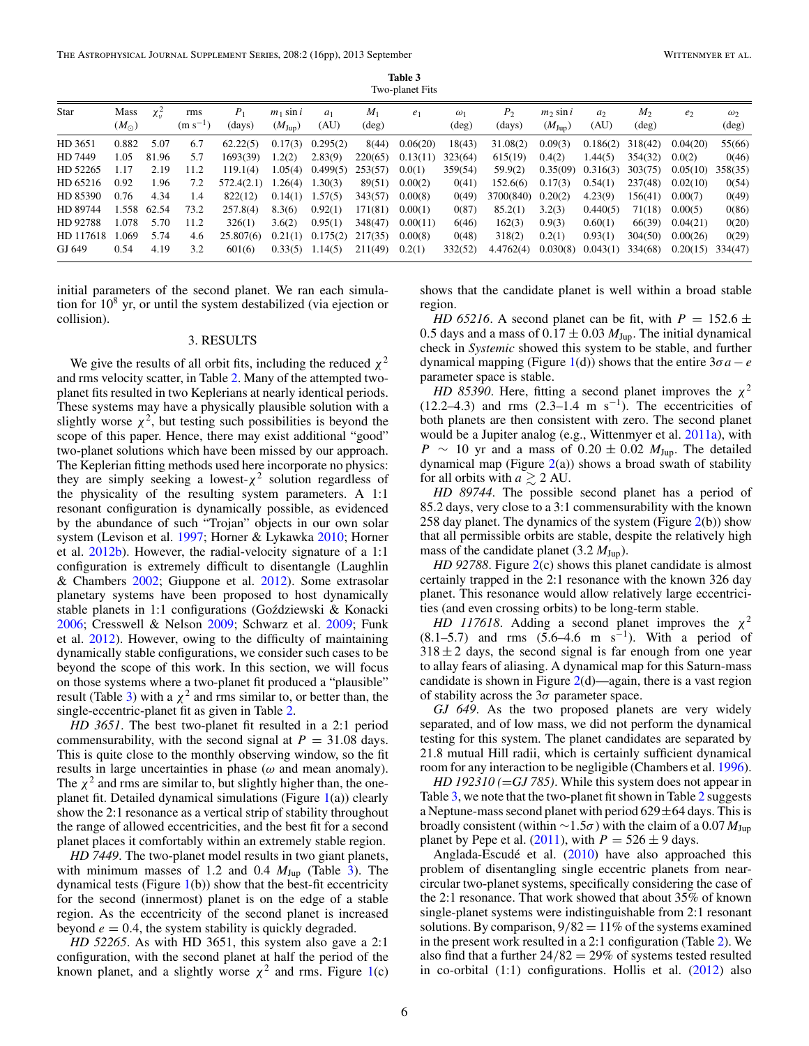**Table 3** Two-planet Fits

<span id="page-5-0"></span>

| Star      | Mass          | $\chi_v^2$ | rms          | P <sub>1</sub> | $m_1$ sin i        | $a_1$    | $M_1$          | e <sub>1</sub> | $\omega_1$     | P <sub>2</sub> | $m_2$ sin i        | a <sub>2</sub> | M <sub>2</sub> | e <sub>2</sub> | $\omega$       |
|-----------|---------------|------------|--------------|----------------|--------------------|----------|----------------|----------------|----------------|----------------|--------------------|----------------|----------------|----------------|----------------|
|           | $(M_{\odot})$ |            | $(m s^{-1})$ | (days)         | $(M_{\text{Jup}})$ | (AU)     | $(\text{deg})$ |                | $(\text{deg})$ | (days)         | $(M_{\text{Jup}})$ | (AU)           | $(\text{deg})$ |                | $(\text{deg})$ |
| HD 3651   | 0.882         | 5.07       | 6.7          | 62.22(5)       | 0.17(3)            | 0.295(2) | 8(44)          | 0.06(20)       | 18(43)         | 31.08(2)       | 0.09(3)            | 0.186(2)       | 318(42)        | 0.04(20)       | 55(66)         |
| HD 7449   | 1.05          | 81.96      | 5.7          | 1693(39)       | 1.2(2)             | 2.83(9)  | 220(65)        | 0.13(11)       | 323(64)        | 615(19)        | 0.4(2)             | 1.44(5)        | 354(32)        | 0.0(2)         | 0(46)          |
| HD 52265  | 1.17          | 2.19       | 11.2         | 119.1(4)       | 1.05(4)            | 0.499(5) | 253(57)        | 0.0(1)         | 359(54)        | 59.9(2)        | 0.35(09)           | 0.316(3)       | 303(75)        | 0.05(10)       | 358(35)        |
| HD 65216  | 0.92          | 1.96       | 7.2          | 572.4(2.1)     | 1.26(4)            | 1.30(3)  | 89(51)         | 0.00(2)        | 0(41)          | 152.6(6)       | 0.17(3)            | 0.54(1)        | 237(48)        | 0.02(10)       | 0(54)          |
| HD 85390  | 0.76          | 4.34       | 1.4          | 822(12)        | 0.14(1)            | 1.57(5)  | 343(57)        | 0.00(8)        | 0(49)          | 3700(840)      | 0.20(2)            | 4.23(9)        | 156(41)        | 0.00(7)        | 0(49)          |
| HD 89744  | 1.558         | 62.54      | 73.2         | 257.8(4)       | 8.3(6)             | 0.92(1)  | 171(81)        | 0.00(1)        | 0(87)          | 85.2(1)        | 3.2(3)             | 0.440(5)       | 71(18)         | 0.00(5)        | 0(86)          |
| HD 92788  | .078          | 5.70       | 11.2         | 326(1)         | 3.6(2)             | 0.95(1)  | 348(47)        | 0.00(11)       | 6(46)          | 162(3)         | 0.9(3)             | 0.60(1)        | 66(39)         | 0.04(21)       | 0(20)          |
| HD 117618 | .069          | 5.74       | 4.6          | 25.807(6)      | 0.21(1)            | 0.175(2) | 217(35)        | 0.00(8)        | 0(48)          | 318(2)         | 0.2(1)             | 0.93(1)        | 304(50)        | 0.00(26)       | 0(29)          |
| GJ 649    | 0.54          | 4.19       | 3.2          | 601(6)         | 0.33(5)            | 1.14(5)  | 211(49)        | 0.2(1)         | 332(52)        | 4.4762(4)      | 0.030(8)           | 0.043(1)       | 334(68)        | 0.20(15)       | 334(47)        |

initial parameters of the second planet. We ran each simulation for  $10^8$  yr, or until the system destabilized (via ejection or collision).

#### 3. RESULTS

We give the results of all orbit fits, including the reduced  $\chi^2$ and rms velocity scatter, in Table [2.](#page-2-0) Many of the attempted twoplanet fits resulted in two Keplerians at nearly identical periods. These systems may have a physically plausible solution with a slightly worse  $\chi^2$ , but testing such possibilities is beyond the scope of this paper. Hence, there may exist additional "good" two-planet solutions which have been missed by our approach. The Keplerian fitting methods used here incorporate no physics: they are simply seeking a lowest- $\chi^2$  solution regardless of the physicality of the resulting system parameters. A 1:1 resonant configuration is dynamically possible, as evidenced by the abundance of such "Trojan" objects in our own solar system (Levison et al. [1997;](#page-15-0) Horner & Lykawka [2010;](#page-15-0) Horner et al. [2012b\)](#page-15-0). However, the radial-velocity signature of a 1:1 configuration is extremely difficult to disentangle (Laughlin & Chambers [2002;](#page-15-0) Giuppone et al. [2012\)](#page-15-0). Some extrasolar planetary systems have been proposed to host dynamically stable planets in 1:1 configurations (Gozdziewski & Konacki ´ [2006;](#page-15-0) Cresswell & Nelson [2009;](#page-15-0) Schwarz et al. [2009;](#page-15-0) Funk et al. [2012\)](#page-15-0). However, owing to the difficulty of maintaining dynamically stable configurations, we consider such cases to be beyond the scope of this work. In this section, we will focus on those systems where a two-planet fit produced a "plausible" result (Table 3) with a  $\chi^2$  and rms similar to, or better than, the single-eccentric-planet fit as given in Table [2.](#page-2-0)

*HD 3651*. The best two-planet fit resulted in a 2:1 period commensurability, with the second signal at  $P = 31.08$  days. This is quite close to the monthly observing window, so the fit results in large uncertainties in phase (*ω* and mean anomaly). The  $\chi^2$  and rms are similar to, but slightly higher than, the oneplanet fit. Detailed dynamical simulations (Figure [1\(](#page-6-0)a)) clearly show the 2:1 resonance as a vertical strip of stability throughout the range of allowed eccentricities, and the best fit for a second planet places it comfortably within an extremely stable region.

*HD 7449*. The two-planet model results in two giant planets, with minimum masses of 1.2 and 0.4  $M_{\text{Jup}}$  (Table 3). The dynamical tests (Figure  $1(b)$  $1(b)$ ) show that the best-fit eccentricity for the second (innermost) planet is on the edge of a stable region. As the eccentricity of the second planet is increased beyond  $e = 0.4$ , the system stability is quickly degraded.

*HD 52265*. As with HD 3651, this system also gave a 2:1 configuration, with the second planet at half the period of the known planet, and a slightly worse  $\chi^2$  and rms. Figure [1\(](#page-6-0)c) shows that the candidate planet is well within a broad stable region.

*HD* 65216. A second planet can be fit, with  $P = 152.6 \pm$ 0.5 days and a mass of  $0.17 \pm 0.03$   $M_{Jup}$ . The initial dynamical check in *Systemic* showed this system to be stable, and further dynamical mapping (Figure [1\(](#page-6-0)d)) shows that the entire  $3\sigma a - e$ parameter space is stable.

*HD 85390*. Here, fitting a second planet improves the  $\chi^2$  $(12.2-4.3)$  and rms  $(2.3-1.4 \text{ m s}^{-1})$ . The eccentricities of both planets are then consistent with zero. The second planet would be a Jupiter analog (e.g., Wittenmyer et al. [2011a\)](#page-15-0), with *P* ∼ 10 yr and a mass of 0.20 ± 0.02  $M_{\text{Jup}}$ . The detailed dynamical map (Figure  $2(a)$  $2(a)$ ) shows a broad swath of stability for all orbits with  $a \gtrsim 2$  AU.

*HD 89744*. The possible second planet has a period of 85.2 days, very close to a 3:1 commensurability with the known 258 day planet. The dynamics of the system (Figure  $2(b)$  $2(b)$ ) show that all permissible orbits are stable, despite the relatively high mass of the candidate planet  $(3.2 M_{Jup})$ .

*HD 92788*. Figure [2\(](#page-6-0)c) shows this planet candidate is almost certainly trapped in the 2:1 resonance with the known 326 day planet. This resonance would allow relatively large eccentricities (and even crossing orbits) to be long-term stable.

*HD 117618*. Adding a second planet improves the *χ*<sup>2</sup>  $(8.1–5.7)$  and rms  $(5.6–4.6 \text{ m s}^{-1})$ . With a period of  $318 \pm 2$  days, the second signal is far enough from one year to allay fears of aliasing. A dynamical map for this Saturn-mass candidate is shown in Figure  $2(d)$  $2(d)$ —again, there is a vast region of stability across the 3*σ* parameter space.

*GJ 649*. As the two proposed planets are very widely separated, and of low mass, we did not perform the dynamical testing for this system. The planet candidates are separated by 21.8 mutual Hill radii, which is certainly sufficient dynamical room for any interaction to be negligible (Chambers et al. [1996\)](#page-14-0).

*HD 192310 (=GJ 785)*. While this system does not appear in Table 3, we note that the two-planet fit shown in Table [2](#page-2-0) suggests a Neptune-mass second planet with period  $629 \pm 64$  days. This is broadly consistent (within  $\sim$ 1.5*σ*) with the claim of a 0.07  $M_{\text{Jup}}$ planet by Pepe et al. [\(2011\)](#page-15-0), with  $P = 526 \pm 9$  days.

Anglada-Escudé et al.  $(2010)$  $(2010)$  have also approached this problem of disentangling single eccentric planets from nearcircular two-planet systems, specifically considering the case of the 2:1 resonance. That work showed that about 35% of known single-planet systems were indistinguishable from 2:1 resonant solutions. By comparison, 9*/*82 = 11% of the systems examined in the present work resulted in a 2:1 configuration (Table [2\)](#page-2-0). We also find that a further 24*/*82 = 29% of systems tested resulted in co-orbital (1:1) configurations. Hollis et al. [\(2012\)](#page-15-0) also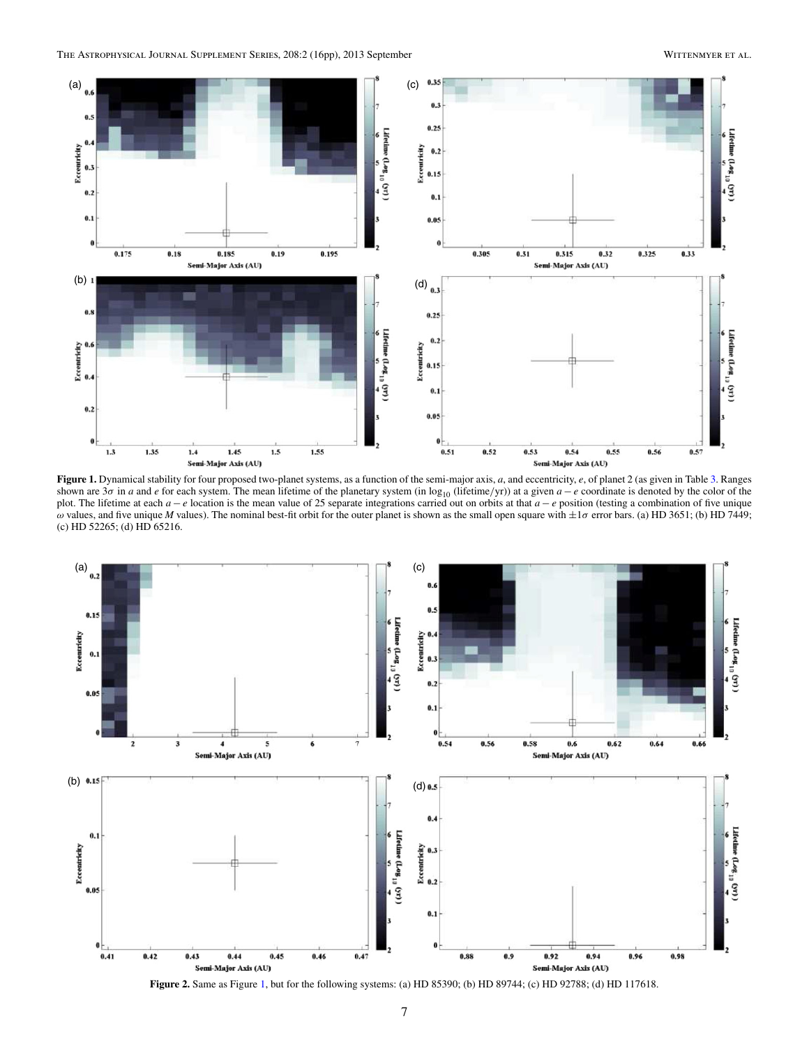<span id="page-6-0"></span>

**Figure 1.** Dynamical stability for four proposed two-planet systems, as a function of the semi-major axis, *a*, and eccentricity, *e*, of planet 2 (as given in Table [3.](#page-5-0) Ranges shown are  $3\sigma$  in *a* and *e* for each system. The mean lifetime of the planetary system (in  $\log_{10}$  (lifetime/yr)) at a given  $a - e$  coordinate is denoted by the color of the plot. The lifetime at each *a* − *e* location is the mean value of 25 separate integrations carried out on orbits at that *a* − *e* position (testing a combination of five unique *ω* values, and five unique *M* values). The nominal best-fit orbit for the outer planet is shown as the small open square with ±1*σ* error bars. (a) HD 3651; (b) HD 7449; (c) HD 52265; (d) HD 65216.



**Figure 2.** Same as Figure 1, but for the following systems: (a) HD 85390; (b) HD 89744; (c) HD 92788; (d) HD 117618.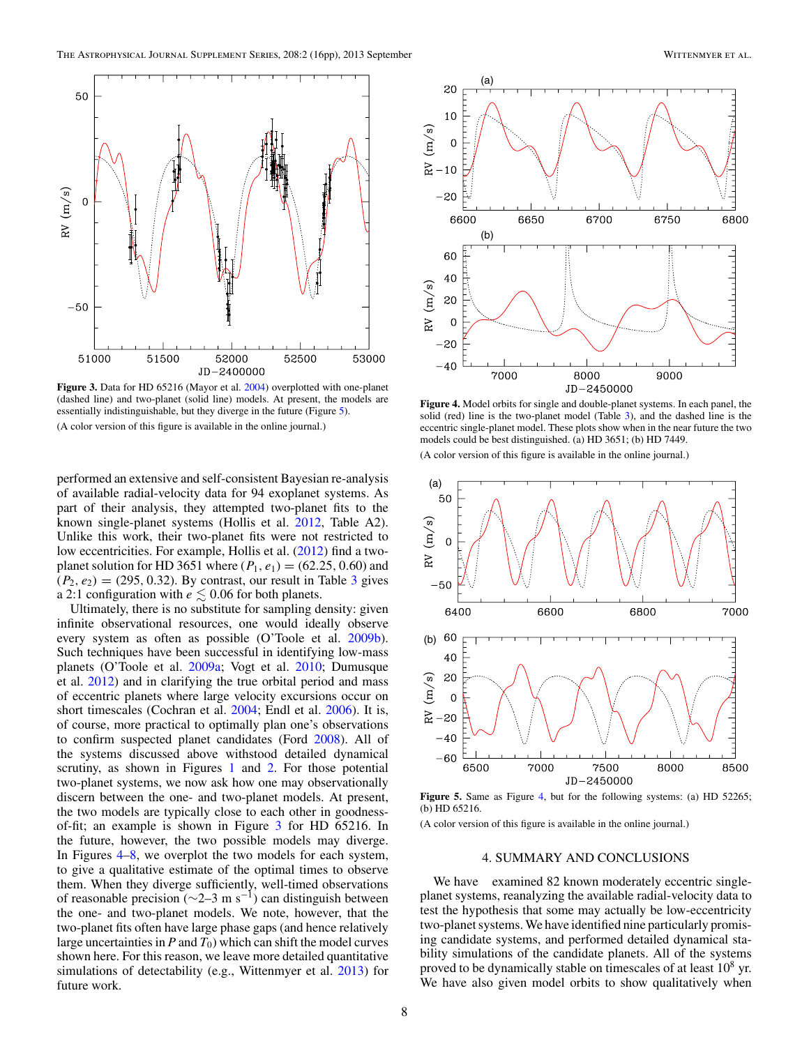<span id="page-7-0"></span>

**Figure 3.** Data for HD 65216 (Mayor et al. [2004\)](#page-15-0) overplotted with one-planet (dashed line) and two-planet (solid line) models. At present, the models are essentially indistinguishable, but they diverge in the future (Figure 5).

(A color version of this figure is available in the online journal.)

performed an extensive and self-consistent Bayesian re-analysis of available radial-velocity data for 94 exoplanet systems. As part of their analysis, they attempted two-planet fits to the known single-planet systems (Hollis et al. [2012,](#page-15-0) Table A2). Unlike this work, their two-planet fits were not restricted to low eccentricities. For example, Hollis et al. [\(2012\)](#page-15-0) find a twoplanet solution for HD 3651 where  $(P_1, e_1) = (62.25, 0.60)$  and  $(P_2, e_2) = (295, 0.32)$  $(P_2, e_2) = (295, 0.32)$  $(P_2, e_2) = (295, 0.32)$ . By contrast, our result in Table 3 gives a 2:1 configuration with  $e \lesssim 0.06$  for both planets.

Ultimately, there is no substitute for sampling density: given infinite observational resources, one would ideally observe every system as often as possible (O'Toole et al. [2009b\)](#page-15-0). Such techniques have been successful in identifying low-mass planets (O'Toole et al. [2009a;](#page-15-0) Vogt et al. [2010;](#page-15-0) Dumusque et al. [2012\)](#page-15-0) and in clarifying the true orbital period and mass of eccentric planets where large velocity excursions occur on short timescales (Cochran et al. [2004;](#page-14-0) Endl et al. [2006\)](#page-15-0). It is, of course, more practical to optimally plan one's observations to confirm suspected planet candidates (Ford [2008\)](#page-15-0). All of the systems discussed above withstood detailed dynamical scrutiny, as shown in Figures [1](#page-6-0) and [2.](#page-6-0) For those potential two-planet systems, we now ask how one may observationally discern between the one- and two-planet models. At present, the two models are typically close to each other in goodnessof-fit; an example is shown in Figure 3 for HD 65216. In the future, however, the two possible models may diverge. In Figures 4[–8,](#page-8-0) we overplot the two models for each system, to give a qualitative estimate of the optimal times to observe them. When they diverge sufficiently, well-timed observations of reasonable precision (∼2–3 m s−1) can distinguish between the one- and two-planet models. We note, however, that the two-planet fits often have large phase gaps (and hence relatively large uncertainties in  $P$  and  $T_0$ ) which can shift the model curves shown here. For this reason, we leave more detailed quantitative simulations of detectability (e.g., Wittenmyer et al. [2013\)](#page-15-0) for future work.



**Figure 4.** Model orbits for single and double-planet systems. In each panel, the solid (red) line is the two-planet model (Table [3\)](#page-5-0), and the dashed line is the eccentric single-planet model. These plots show when in the near future the two models could be best distinguished. (a) HD 3651; (b) HD 7449.

(A color version of this figure is available in the online journal.)



**Figure 5.** Same as Figure 4, but for the following systems: (a) HD 52265; (b) HD 65216.

(A color version of this figure is available in the online journal.)

#### 4. SUMMARY AND CONCLUSIONS

We have examined 82 known moderately eccentric singleplanet systems, reanalyzing the available radial-velocity data to test the hypothesis that some may actually be low-eccentricity two-planet systems. We have identified nine particularly promising candidate systems, and performed detailed dynamical stability simulations of the candidate planets. All of the systems proved to be dynamically stable on timescales of at least  $10^8$  yr. We have also given model orbits to show qualitatively when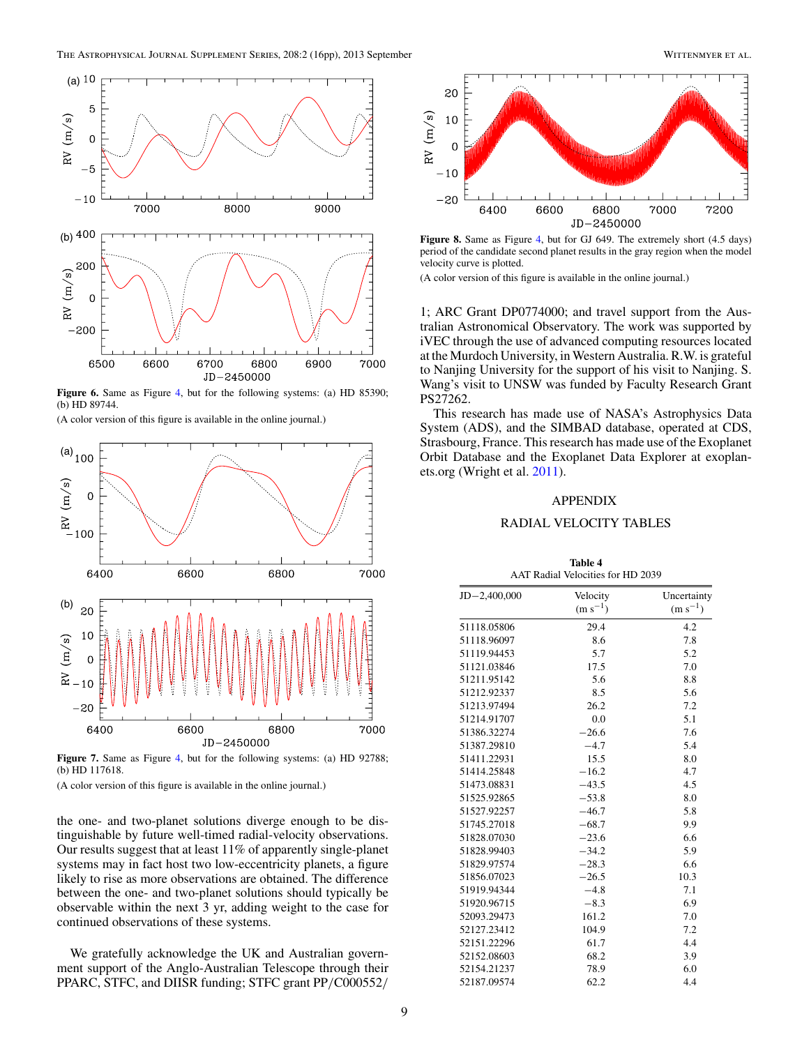<span id="page-8-0"></span>

**Figure 6.** Same as Figure [4,](#page-7-0) but for the following systems: (a) HD 85390; (b) HD 89744.

(A color version of this figure is available in the online journal.)



**Figure 7.** Same as Figure [4,](#page-7-0) but for the following systems: (a) HD 92788; (b) HD 117618.

(A color version of this figure is available in the online journal.)

the one- and two-planet solutions diverge enough to be distinguishable by future well-timed radial-velocity observations. Our results suggest that at least 11% of apparently single-planet systems may in fact host two low-eccentricity planets, a figure likely to rise as more observations are obtained. The difference between the one- and two-planet solutions should typically be observable within the next 3 yr, adding weight to the case for continued observations of these systems.

We gratefully acknowledge the UK and Australian government support of the Anglo-Australian Telescope through their PPARC, STFC, and DIISR funding; STFC grant PP*/*C000552*/*



Figure 8. Same as Figure [4,](#page-7-0) but for GJ 649. The extremely short  $(4.5 \text{ days})$ period of the candidate second planet results in the gray region when the model velocity curve is plotted.

(A color version of this figure is available in the online journal.)

1; ARC Grant DP0774000; and travel support from the Australian Astronomical Observatory. The work was supported by iVEC through the use of advanced computing resources located at the Murdoch University, in Western Australia. R.W. is grateful to Nanjing University for the support of his visit to Nanjing. S. Wang's visit to UNSW was funded by Faculty Research Grant PS27262.

This research has made use of NASA's Astrophysics Data System (ADS), and the SIMBAD database, operated at CDS, Strasbourg, France. This research has made use of the Exoplanet Orbit Database and the Exoplanet Data Explorer at exoplanets.org (Wright et al. [2011\)](#page-15-0).

### APPENDIX

#### RADIAL VELOCITY TABLES

| <b>Table 4</b>                    |
|-----------------------------------|
| AAT Radial Velocities for HD 2039 |

| $JD - 2,400,000$ | Velocity     | Uncertainty  |
|------------------|--------------|--------------|
|                  | $(m s^{-1})$ | $(m s^{-1})$ |
| 51118.05806      | 29.4         | 4.2          |
| 51118.96097      | 8.6          | 7.8          |
| 51119.94453      | 5.7          | 5.2          |
| 51121.03846      | 17.5         | 7.0          |
| 51211.95142      | 5.6          | 8.8          |
| 51212.92337      | 8.5          | 5.6          |
| 51213.97494      | 26.2         | 7.2          |
| 51214.91707      | 0.0          | 5.1          |
| 51386.32274      | $-26.6$      | 7.6          |
| 51387.29810      | $-4.7$       | 5.4          |
| 51411.22931      | 15.5         | 8.0          |
| 51414.25848      | $-16.2$      | 4.7          |
| 51473.08831      | $-43.5$      | 4.5          |
| 51525.92865      | $-53.8$      | 8.0          |
| 51527.92257      | $-46.7$      | 5.8          |
| 51745.27018      | $-68.7$      | 9.9          |
| 51828.07030      | $-23.6$      | 6.6          |
| 51828.99403      | $-34.2$      | 5.9          |
| 51829.97574      | $-28.3$      | 6.6          |
| 51856.07023      | $-26.5$      | 10.3         |
| 51919.94344      | $-4.8$       | 7.1          |
| 51920.96715      | $-8.3$       | 6.9          |
| 52093.29473      | 161.2        | 7.0          |
| 52127.23412      | 104.9        | 7.2          |
| 52151.22296      | 61.7         | 4.4          |
| 52152.08603      | 68.2         | 3.9          |
| 52154.21237      | 78.9         | 6.0          |
| 52187.09574      | 62.2         | 4.4          |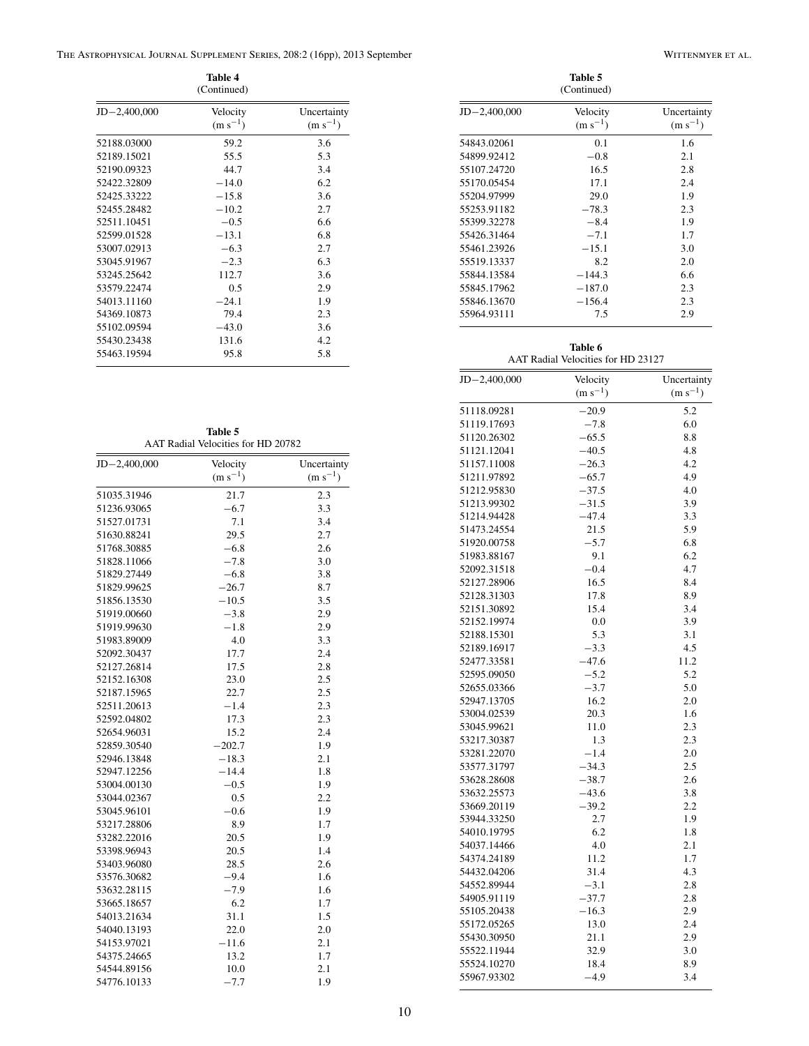|                  | Table 4<br>(Continued)   |                             |
|------------------|--------------------------|-----------------------------|
| $JD - 2,400,000$ | Velocity<br>$(m s^{-1})$ | Uncertainty<br>$(m s^{-1})$ |
| 52188.03000      | 59.2                     | 3.6                         |
| 52189.15021      | 55.5                     | 5.3                         |
| 52190.09323      | 44.7                     | 3.4                         |
| 52422.32809      | $-14.0$                  | 6.2                         |
| 52425.33222      | $-15.8$                  | 3.6                         |
| 52455.28482      | $-10.2$                  | 2.7                         |
| 52511.10451      | $-0.5$                   | 6.6                         |
| 52599.01528      | $-13.1$                  | 6.8                         |
| 53007.02913      | $-6.3$                   | 2.7                         |
| 53045.91967      | $-2.3$                   | 6.3                         |
| 53245.25642      | 112.7                    | 3.6                         |
| 53579.22474      | 0.5                      | 2.9                         |
| 54013.11160      | $-24.1$                  | 1.9                         |
| 54369.10873      | 79.4                     | 2.3                         |
| 55102.09594      | $-43.0$                  | 3.6                         |
| 55430.23438      | 131.6                    | 4.2                         |
| 55463.19594      | 95.8                     | 5.8                         |

|                  | Table 5<br>(Continued)   |                             |
|------------------|--------------------------|-----------------------------|
| $JD - 2,400,000$ | Velocity<br>$(m s^{-1})$ | Uncertainty<br>$(m s^{-1})$ |
| 54843.02061      | 0.1                      | 1.6                         |
| 54899.92412      | $-0.8$                   | 2.1                         |
| 55107.24720      | 16.5                     | 2.8                         |
| 55170.05454      | 17.1                     | 2.4                         |
| 55204.97999      | 29.0                     | 1.9                         |
| 55253.91182      | $-78.3$                  | 2.3                         |
| 55399.32278      | $-8.4$                   | 1.9                         |
| 55426.31464      | $-7.1$                   | 1.7                         |
| 55461.23926      | $-15.1$                  | 3.0                         |
| 55519.13337      | 8.2                      | 2.0                         |
| 55844.13584      | $-144.3$                 | 6.6                         |
| 55845.17962      | $-187.0$                 | 2.3                         |
| 55846.13670      | $-156.4$                 | 2.3                         |
| 55964.93111      | 7.5                      | 2.9                         |

**Table 6** AAT Radial Velocities for HD 23127

| $JD - 2,400,000$ | Velocity     | Uncertainty  |
|------------------|--------------|--------------|
|                  | $(m s^{-1})$ | $(m s^{-1})$ |
| 51118.09281      | $-20.9$      | 5.2          |
| 51119.17693      | $-7.8$       | 6.0          |
| 51120.26302      | $-65.5$      | 8.8          |
| 51121.12041      | $-40.5$      | 4.8          |
| 51157.11008      | $-26.3$      | 4.2          |
| 51211.97892      | $-65.7$      | 4.9          |
| 51212.95830      | $-37.5$      | 4.0          |
| 51213.99302      | $-31.5$      | 3.9          |
| 51214.94428      | $-47.4$      | 3.3          |
| 51473.24554      | 21.5         | 5.9          |
| 51920.00758      | $-5.7$       | 6.8          |
| 51983.88167      | 9.1          | 6.2          |
| 52092.31518      | $-0.4$       | 4.7          |
| 52127.28906      | 16.5         | 8.4          |
| 52128.31303      | 17.8         | 8.9          |
| 52151.30892      | 15.4         | 3.4          |
| 52152.19974      | 0.0          | 3.9          |
| 52188.15301      | 5.3          | 3.1          |
| 52189.16917      | $-3.3$       | 4.5          |
| 52477.33581      | $-47.6$      | 11.2         |
| 52595.09050      | $-5.2$       | 5.2          |
| 52655.03366      | $-3.7$       | 5.0          |
| 52947.13705      | 16.2         | 2.0          |
| 53004.02539      | 20.3         | 1.6          |
| 53045.99621      | 11.0         | 2.3          |
| 53217.30387      | 1.3          | 2.3          |
| 53281.22070      | $-1.4$       | 2.0          |
| 53577.31797      | $-34.3$      | 2.5          |
| 53628.28608      | $-38.7$      | 2.6          |
| 53632.25573      | $-43.6$      | 3.8          |
| 53669.20119      | $-39.2$      | 2.2          |
| 53944.33250      | 2.7          | 1.9          |
| 54010.19795      | 6.2          | 1.8          |
| 54037.14466      | 4.0          | 2.1          |
| 54374.24189      | 11.2         | 1.7          |
| 54432.04206      | 31.4         | 4.3          |
| 54552.89944      | $-3.1$       | 2.8          |
| 54905.91119      | $-37.7$      | 2.8          |
| 55105.20438      | $-16.3$      | 2.9          |
| 55172.05265      | 13.0         | 2.4          |
| 55430.30950      | 21.1         | 2.9          |
| 55522.11944      | 32.9         | 3.0          |
| 55524.10270      | 18.4         | 8.9          |
| 55967.93302      | $-4.9$       | 3.4          |
|                  |              |              |

**Table 5** AAT Radial Velocities for HD 20782

| $JD - 2,400,000$ | Velocity     | Uncertainty  |  |  |
|------------------|--------------|--------------|--|--|
|                  | $(m s^{-1})$ | $(m s^{-1})$ |  |  |
| 51035.31946      | 21.7         | 2.3          |  |  |
| 51236.93065      | $-6.7$       | 3.3          |  |  |
| 51527.01731      | 7.1          | 3.4          |  |  |
| 51630.88241      | 29.5         | 2.7          |  |  |
| 51768.30885      | $-6.8$       | 2.6          |  |  |
| 51828.11066      | $-7.8$       | 3.0          |  |  |
| 51829.27449      | $-6.8$       | 3.8          |  |  |
| 51829.99625      | $-26.7$      | 8.7          |  |  |
| 51856.13530      | $-10.5$      | 3.5          |  |  |
| 51919.00660      | $-3.8$       | 2.9          |  |  |
| 51919.99630      | $-1.8$       | 2.9          |  |  |
| 51983.89009      | 4.0          | 3.3          |  |  |
| 52092.30437      | 17.7         | 2.4          |  |  |
| 52127.26814      | 17.5         | 2.8          |  |  |
| 52152.16308      | 23.0         | 2.5          |  |  |
| 52187.15965      | 22.7         | 2.5          |  |  |
| 52511.20613      | $-1.4$       | 2.3          |  |  |
| 52592.04802      | 17.3         | 2.3          |  |  |
| 52654.96031      | 15.2         | 2.4          |  |  |
| 52859.30540      | $-202.7$     | 1.9          |  |  |
| 52946.13848      | $-18.3$      | 2.1          |  |  |
| 52947.12256      | $-14.4$      | 1.8          |  |  |
| 53004.00130      | $-0.5$       | 1.9          |  |  |
| 53044.02367      | 0.5          | 2.2          |  |  |
| 53045.96101      | $-0.6$       | 1.9          |  |  |
| 53217.28806      | 8.9          | 1.7          |  |  |
| 53282.22016      | 20.5         | 1.9          |  |  |
| 53398.96943      | 20.5         | 1.4          |  |  |
| 53403.96080      | 28.5         | 2.6          |  |  |
| 53576.30682      | $-9.4$       | 1.6          |  |  |
| 53632.28115      | $-7.9$       | 1.6          |  |  |
| 53665.18657      | 6.2          | 1.7          |  |  |
| 54013.21634      | 31.1         | 1.5          |  |  |
| 54040.13193      | 22.0         | 2.0          |  |  |
| 54153.97021      | $-11.6$      | 2.1          |  |  |
| 54375.24665      | 13.2         | 1.7          |  |  |
| 54544.89156      | 10.0         | 2.1          |  |  |
| 54776.10133      | $-7.7$       | 1.9          |  |  |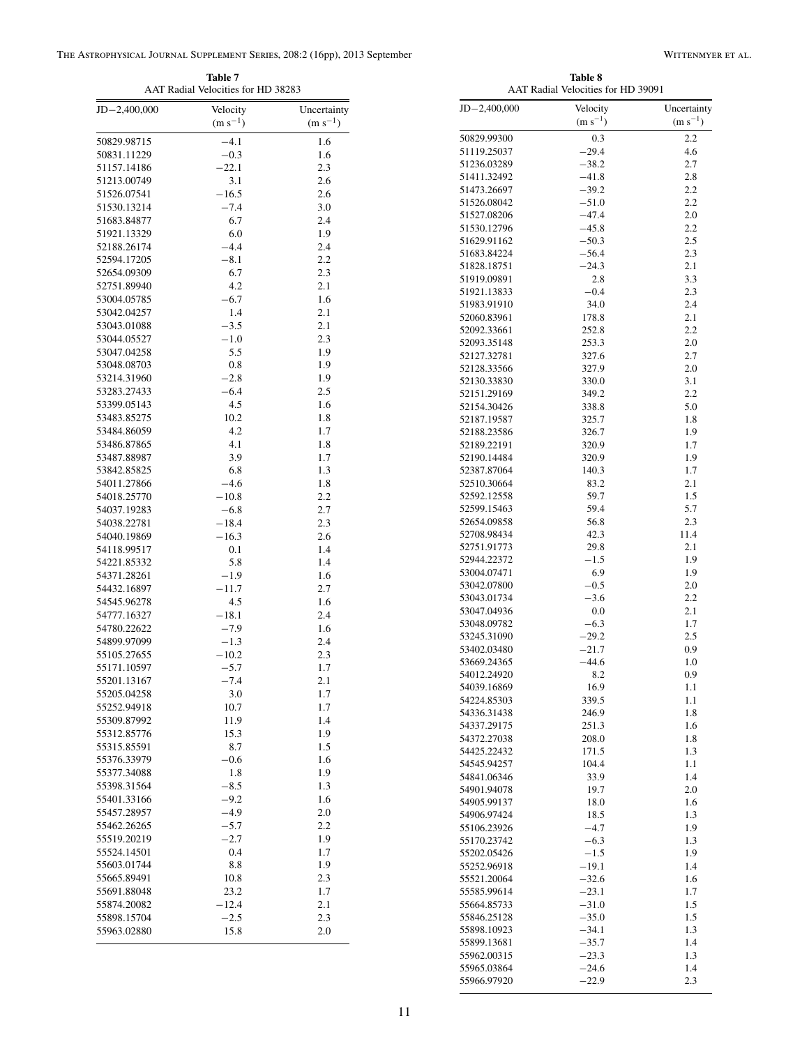**Table 7**

|                            | Table 8<br>AAT Radial Velocities for HD 39091 |                             |
|----------------------------|-----------------------------------------------|-----------------------------|
| $JD - 2,400,000$           | Velocity<br>$(m s^{-1})$                      | Uncertainty<br>$(m s^{-1})$ |
| 50829.99300                | 0.3                                           | 2.2                         |
| 51119.25037                | $-29.4$                                       | 4.6                         |
| 51236.03289                | $-38.2$                                       | 2.7                         |
| 51411.32492<br>51473.26697 | $-41.8$<br>$-39.2$                            | 2.8<br>2.2                  |
| 51526.08042                | $-51.0$                                       | 2.2                         |
| 51527.08206                | $-47.4$                                       | 2.0                         |
| 51530.12796                | $-45.8$                                       | 2.2                         |
| 51629.91162                | $-50.3$                                       | 2.5                         |
| 51683.84224                | $-56.4$                                       | 2.3                         |
| 51828.18751                | $-24.3$                                       | 2.1                         |
| 51919.09891                | 2.8                                           | 3.3                         |
| 51921.13833                | $-0.4$                                        | 2.3                         |
| 51983.91910<br>52060.83961 | 34.0<br>178.8                                 | 2.4<br>2.1                  |
| 52092.33661                | 252.8                                         | 2.2                         |
| 52093.35148                | 253.3                                         | 2.0                         |
| 52127.32781                | 327.6                                         | 2.7                         |
| 52128.33566                | 327.9                                         | 2.0                         |
| 52130.33830                | 330.0                                         | 3.1                         |
| 52151.29169                | 349.2                                         | 2.2                         |
| 52154.30426                | 338.8                                         | 5.0                         |
| 52187.19587                | 325.7                                         | 1.8                         |
| 52188.23586                | 326.7                                         | 1.9                         |
| 52189.22191<br>52190.14484 | 320.9<br>320.9                                | 1.7<br>1.9                  |
| 52387.87064                | 140.3                                         | 1.7                         |
| 52510.30664                | 83.2                                          | 2.1                         |
| 52592.12558                | 59.7                                          | 1.5                         |
| 52599.15463                | 59.4                                          | 5.7                         |
| 52654.09858                | 56.8                                          | 2.3                         |
| 52708.98434                | 42.3                                          | 11.4                        |
| 52751.91773                | 29.8                                          | 2.1                         |
| 52944.22372                | $-1.5$                                        | 1.9                         |
| 53004.07471<br>53042.07800 | 6.9<br>$-0.5$                                 | 1.9<br>2.0                  |
| 53043.01734                | $-3.6$                                        | 2.2                         |
| 53047.04936                | 0.0                                           | 2.1                         |
| 53048.09782                | $-6.3$                                        | 1.7                         |
| 53245.31090                | $-29.2$                                       | 2.5                         |
| 53402.03480                | $-21.7$                                       | 0.9                         |
| 53669.24365                | $-44.6$                                       | 1.0                         |
| 54012.24920                | 8.2                                           | 0.9                         |
| 54039.16869<br>54224.85303 | 16.9<br>339.5                                 | 1.1<br>1.1                  |
| 54336.31438                | 246.9                                         | 1.8                         |
| 54337.29175                | 251.3                                         | 1.6                         |
| 54372.27038                | 208.0                                         | 1.8                         |
| 54425.22432                | 171.5                                         | 1.3                         |
| 54545.94257                | 104.4                                         | 1.1                         |
| 54841.06346                | 33.9                                          | 1.4                         |
| 54901.94078                | 19.7                                          | 2.0                         |
| 54905.99137<br>54906.97424 | 18.0                                          | 1.6                         |
| 55106.23926                | 18.5<br>$-4.7$                                | 1.3<br>1.9                  |
| 55170.23742                | $-6.3$                                        | 1.3                         |
| 55202.05426                | $-1.5$                                        | 1.9                         |
| 55252.96918                | $-19.1$                                       | 1.4                         |
| 55521.20064                | $-32.6$                                       | 1.6                         |
| 55585.99614                | $-23.1$                                       | 1.7                         |
| 55664.85733                | $-31.0$                                       | 1.5                         |
| 55846.25128                | $-35.0$                                       | 1.5                         |
| 55898.10923                | $-34.1$                                       | 1.3                         |
| 55899.13681<br>55962.00315 | $-35.7$<br>$-23.3$                            | 1.4<br>1.3                  |
| 55965.03864                | $-24.6$                                       | 1.4                         |
| 55966.97920                | $-22.9$                                       | 2.3                         |
|                            |                                               |                             |

| Table 7<br>AAT Radial Velocities for HD 38283 |                             |  |
|-----------------------------------------------|-----------------------------|--|
| $JD - 2,400,000$<br>Velocity<br>$(m s^{-1})$  | Uncertainty<br>$(m s^{-1})$ |  |
| 50829.98715<br>$-4.1$                         | 1.6                         |  |
| 50831.11229<br>$-0.3$                         | 1.6                         |  |
| $-22.1$<br>51157.14186                        | 2.3                         |  |
| 3.1<br>51213.00749                            | 2.6                         |  |
| $-16.5$<br>51526.07541                        | 2.6                         |  |
| $-7.4$<br>51530.13214                         | 3.0                         |  |
| 6.7<br>51683.84877                            | 2.4                         |  |
| 6.0<br>51921.13329                            | 1.9                         |  |
| 52188.26174<br>$-4.4$                         | 2.4                         |  |
| 52594.17205<br>$-8.1$                         | 2.2                         |  |
| 6.7<br>52654.09309                            | 2.3                         |  |
| 4.2<br>52751.89940                            | 2.1                         |  |
| $-6.7$<br>53004.05785                         | 1.6                         |  |
| 1.4                                           | 2.1                         |  |
| 53042.04257                                   |                             |  |
| $-3.5$<br>53043.01088                         | 2.1                         |  |
| $-1.0$<br>53044.05527                         | 2.3                         |  |
| 5.5<br>53047.04258                            | 1.9                         |  |
| 53048.08703<br>0.8                            | 1.9                         |  |
| $^{-2.8}$<br>53214.31960                      | 1.9                         |  |
| 53283.27433<br>$-6.4$                         | 2.5                         |  |
| 4.5<br>53399.05143                            | 1.6                         |  |
| 10.2<br>53483.85275                           | 1.8                         |  |
| 4.2<br>53484.86059                            | 1.7                         |  |
| 4.1<br>53486.87865                            | 1.8                         |  |
| 3.9<br>53487.88987                            | 1.7                         |  |
| 6.8<br>53842.85825                            | 1.3                         |  |
| $-4.6$<br>54011.27866                         | 1.8                         |  |
| $-10.8$<br>54018.25770                        | 2.2                         |  |
| $-6.8$<br>54037.19283                         | 2.7                         |  |
| $-18.4$<br>54038.22781                        | 2.3                         |  |
| $-16.3$<br>54040.19869                        | 2.6                         |  |
| 54118.99517<br>0.1                            | 1.4                         |  |
| 5.8<br>54221.85332                            | 1.4                         |  |
| $-1.9$<br>54371.28261                         | 1.6                         |  |
| 54432.16897<br>$-11.7$                        | 2.7                         |  |
| 4.5<br>54545.96278                            | 1.6                         |  |
| $-18.1$<br>54777.16327                        | 2.4                         |  |
| $-7.9$<br>54780.22622                         | 1.6                         |  |
| $-1.3$<br>54899.97099                         | 2.4                         |  |
| 55105.27655<br>$-10.2$                        | 2.3                         |  |
| 55171.10597<br>$-5.7$                         | 1.7                         |  |
| 55201.13167<br>$-7.4$                         | 2.1                         |  |
| 55205.04258<br>3.0                            | 1.7                         |  |
| 10.7<br>55252.94918                           | 1.7                         |  |
| 55309.87992<br>11.9                           | 1.4                         |  |
| 55312.85776<br>15.3                           | 1.9                         |  |
| 55315.85591<br>8.7                            | 1.5                         |  |
| 55376.33979<br>$-0.6$                         | 1.6                         |  |
| 55377.34088<br>1.8                            | 1.9                         |  |
| $-8.5$<br>55398.31564                         | 1.3                         |  |
| 55401.33166<br>$-9.2$                         | 1.6                         |  |
| $-4.9$<br>55457.28957                         | 2.0                         |  |
| 55462.26265<br>$-5.7$                         | 2.2                         |  |
| 55519.20219<br>$-2.7$                         | 1.9                         |  |
|                                               |                             |  |
| 55524.14501<br>0.4                            | 1.7                         |  |
| 55603.01744<br>8.8                            | 1.9                         |  |
| 55665.89491<br>10.8                           | 2.3                         |  |
| 55691.88048<br>23.2                           | 1.7                         |  |
| 55874.20082<br>$-12.4$                        | 2.1                         |  |
|                                               |                             |  |
| 55898.15704<br>$-2.5$<br>15.8<br>55963.02880  | 2.3<br>2.0                  |  |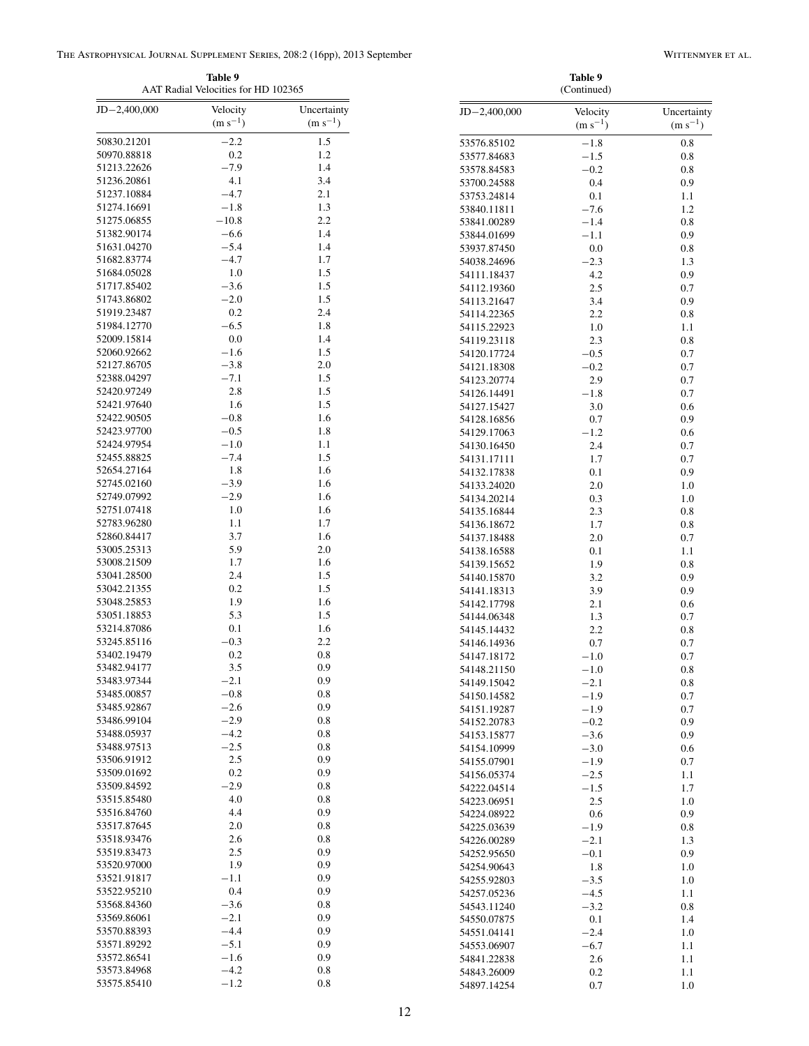THE ASTROPHYSICAL JOURNAL SUPPLEMENT SERIES, 208:2 (16pp), 2013 September

**Table 9**

| WITTENMYER ET AL. |  |  |
|-------------------|--|--|
|-------------------|--|--|

|                  | Table 9<br>AAT Radial Velocities for HD 102365 |                             |                  | Table 9<br>(Continued)   |                             |
|------------------|------------------------------------------------|-----------------------------|------------------|--------------------------|-----------------------------|
| $JD - 2,400,000$ | Velocity<br>$(m s^{-1})$                       | Uncertainty<br>$(m s^{-1})$ | $JD - 2,400,000$ | Velocity<br>$(m s^{-1})$ | Uncertainty<br>$(m s^{-1})$ |
| 50830.21201      | $-2.2$                                         | 1.5                         | 53576.85102      | $-1.8$                   | $0.8\,$                     |
| 50970.88818      | $0.2\,$                                        | $1.2\,$                     | 53577.84683      | $-1.5$                   | 0.8                         |
| 51213.22626      | $-7.9$                                         | 1.4                         | 53578.84583      | $-0.2$                   | $0.8\,$                     |
| 51236.20861      | 4.1                                            | 3.4                         | 53700.24588      | 0.4                      | 0.9                         |
| 51237.10884      | $-4.7$                                         | 2.1                         | 53753.24814      | 0.1                      | 1.1                         |
| 51274.16691      | $-1.8$                                         | 1.3                         | 53840.11811      | $-7.6$                   | 1.2                         |
| 51275.06855      | $-10.8$                                        | 2.2                         | 53841.00289      | $-1.4$                   | 0.8                         |
| 51382.90174      | $-6.6$                                         | 1.4                         |                  |                          |                             |
| 51631.04270      | $-5.4$                                         | 1.4                         | 53844.01699      | $-1.1$                   | 0.9                         |
| 51682.83774      | $-4.7$                                         | 1.7                         | 53937.87450      | 0.0                      | 0.8                         |
| 51684.05028      | 1.0                                            | 1.5                         | 54038.24696      | $-2.3$                   | 1.3                         |
| 51717.85402      | $-3.6$                                         | 1.5                         | 54111.18437      | 4.2                      | 0.9                         |
|                  |                                                |                             | 54112.19360      | 2.5                      | 0.7                         |
| 51743.86802      | $-2.0$                                         | 1.5                         | 54113.21647      | 3.4                      | 0.9                         |
| 51919.23487      | $0.2\,$                                        | 2.4                         | 54114.22365      | 2.2                      | 0.8                         |
| 51984.12770      | $-6.5$                                         | 1.8                         | 54115.22923      | 1.0                      | 1.1                         |
| 52009.15814      | 0.0                                            | 1.4                         | 54119.23118      | 2.3                      | 0.8                         |
| 52060.92662      | $-1.6$                                         | 1.5                         | 54120.17724      | $-0.5$                   | 0.7                         |
| 52127.86705      | $-3.8$                                         | 2.0                         | 54121.18308      | $-0.2$                   | 0.7                         |
| 52388.04297      | $-7.1$                                         | 1.5                         | 54123.20774      | 2.9                      | 0.7                         |
| 52420.97249      | 2.8                                            | 1.5                         | 54126.14491      | $-1.8$                   | 0.7                         |
| 52421.97640      | 1.6                                            | 1.5                         | 54127.15427      | 3.0                      | 0.6                         |
| 52422.90505      | $-0.8$                                         | 1.6                         | 54128.16856      | 0.7                      | 0.9                         |
| 52423.97700      | $-0.5$                                         | 1.8                         | 54129.17063      | $-1.2$                   | 0.6                         |
| 52424.97954      | $-1.0$                                         | 1.1                         | 54130.16450      | 2.4                      | 0.7                         |
| 52455.88825      | $-7.4$                                         | 1.5                         | 54131.17111      | 1.7                      | 0.7                         |
| 52654.27164      | 1.8                                            | 1.6                         | 54132.17838      | 0.1                      | 0.9                         |
| 52745.02160      | $-3.9$                                         | 1.6                         | 54133.24020      | 2.0                      | 1.0                         |
| 52749.07992      | $-2.9$                                         | 1.6                         | 54134.20214      | 0.3                      | 1.0                         |
| 52751.07418      | 1.0                                            | 1.6                         | 54135.16844      | 2.3                      | 0.8                         |
| 52783.96280      | 1.1                                            | 1.7                         | 54136.18672      | 1.7                      | 0.8                         |
| 52860.84417      | 3.7                                            | 1.6                         | 54137.18488      | 2.0                      | 0.7                         |
| 53005.25313      | 5.9                                            | 2.0                         | 54138.16588      | 0.1                      | 1.1                         |
| 53008.21509      | 1.7                                            | 1.6                         | 54139.15652      | 1.9                      | 0.8                         |
| 53041.28500      | 2.4                                            | 1.5                         |                  | 3.2                      | 0.9                         |
| 53042.21355      | 0.2                                            | 1.5                         | 54140.15870      |                          |                             |
| 53048.25853      | 1.9                                            | 1.6                         | 54141.18313      | 3.9                      | 0.9                         |
| 53051.18853      | 5.3                                            | 1.5                         | 54142.17798      | 2.1                      | 0.6                         |
|                  |                                                |                             | 54144.06348      | 1.3                      | 0.7                         |
| 53214.87086      | 0.1                                            | 1.6                         | 54145.14432      | 2.2                      | $0.8\,$                     |
| 53245.85116      | $-0.3$                                         | 2.2                         | 54146.14936      | 0.7                      | 0.7                         |
| 53402.19479      | 0.2                                            | 0.8                         | 54147.18172      | $-1.0$                   | 0.7                         |
| 53482.94177      | 3.5                                            | 0.9                         | 54148.21150      | $-1.0$                   | 0.8                         |
| 53483.97344      | $-2.1$                                         | 0.9                         | 54149.15042      | $-2.1$                   | 0.8                         |
| 53485.00857      | $-0.8$                                         | 0.8                         | 54150.14582      | $-1.9$                   | 0.7                         |
| 53485.92867      | $-2.6$                                         | 0.9                         | 54151.19287      | $-1.9$                   | 0.7                         |
| 53486.99104      | $-2.9$                                         | 0.8                         | 54152.20783      | $-0.2$                   | 0.9                         |
| 53488.05937      | $-4.2$                                         | 0.8                         | 54153.15877      | $-3.6$                   | 0.9                         |
| 53488.97513      | $-2.5$                                         | 0.8                         | 54154.10999      | $-3.0$                   | 0.6                         |
| 53506.91912      | 2.5                                            | 0.9                         | 54155.07901      | $-1.9$                   | 0.7                         |
| 53509.01692      | 0.2                                            | 0.9                         | 54156.05374      | $-2.5$                   | 1.1                         |
| 53509.84592      | $-2.9$                                         | 0.8                         | 54222.04514      | $-1.5$                   | 1.7                         |
| 53515.85480      | 4.0                                            | 0.8                         | 54223.06951      | 2.5                      | 1.0                         |
| 53516.84760      | 4.4                                            | 0.9                         | 54224.08922      | 0.6                      | 0.9                         |
| 53517.87645      | 2.0                                            | 0.8                         | 54225.03639      | $-1.9$                   | 0.8                         |
| 53518.93476      | 2.6                                            | 0.8                         | 54226.00289      | $-2.1$                   | 1.3                         |
| 53519.83473      | 2.5                                            | 0.9                         | 54252.95650      | $-0.1$                   | 0.9                         |
| 53520.97000      | 1.9                                            | 0.9                         |                  | 1.8                      |                             |
| 53521.91817      | $-1.1$                                         | 0.9                         | 54254.90643      |                          | 1.0                         |
| 53522.95210      | 0.4                                            | 0.9                         | 54255.92803      | $-3.5$                   | 1.0                         |
|                  |                                                |                             | 54257.05236      | $-4.5$                   | 1.1                         |
| 53568.84360      | $-3.6$                                         | 0.8                         | 54543.11240      | $-3.2$                   | 0.8                         |
| 53569.86061      | $-2.1$                                         | 0.9                         | 54550.07875      | 0.1                      | 1.4                         |
| 53570.88393      | $-4.4$                                         | 0.9                         | 54551.04141      | $-2.4$                   | 1.0                         |
| 53571.89292      | $-5.1$                                         | 0.9                         | 54553.06907      | $-6.7$                   | 1.1                         |
| 53572.86541      | $-1.6$                                         | 0.9                         | 54841.22838      | 2.6                      | 1.1                         |
| 53573.84968      | $-4.2$                                         | 0.8                         | 54843.26009      | 0.2                      | 1.1                         |
| 53575.85410      | $-1.2$                                         | 0.8                         | 54897.14254      | 0.7                      | 1.0                         |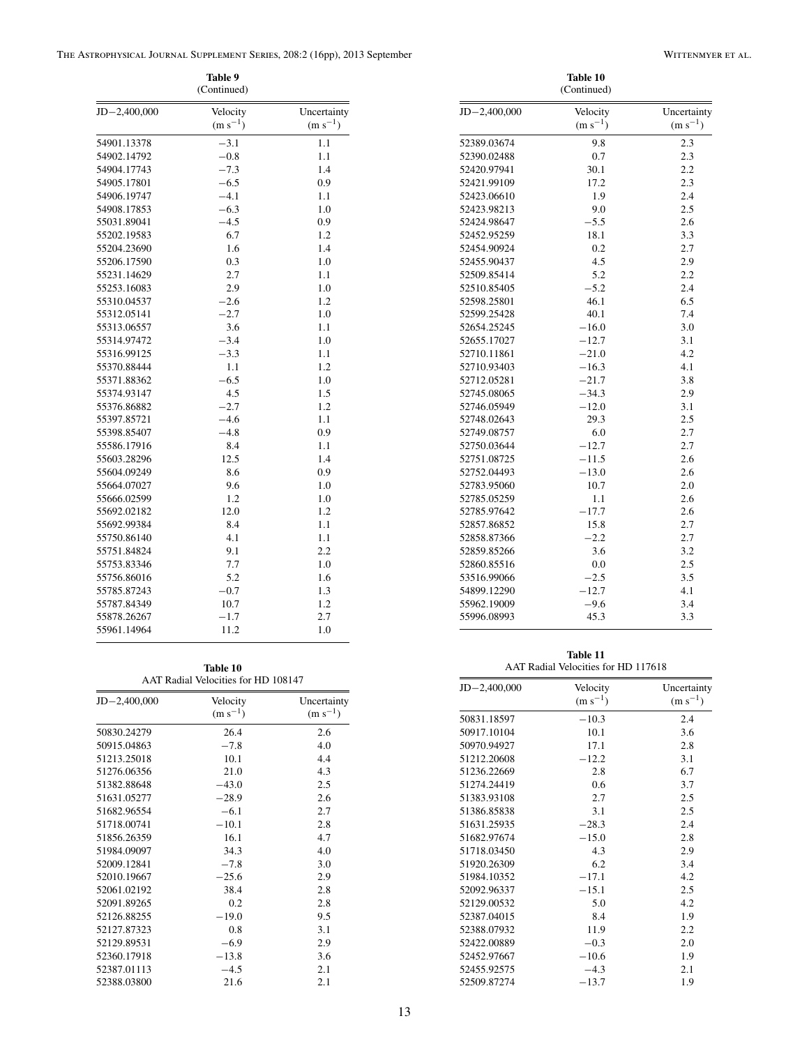|                  | Table 9<br>(Continued)   |                             |
|------------------|--------------------------|-----------------------------|
| $JD - 2,400,000$ | Velocity<br>$(m s^{-1})$ | Uncertainty<br>$(m s^{-1})$ |
| 54901.13378      | $-3.1$                   | 1.1                         |
| 54902.14792      | $-0.8$                   | 1.1                         |
| 54904.17743      | $-7.3$                   | 1.4                         |
| 54905.17801      | $-6.5$                   | 0.9                         |
| 54906.19747      | $-4.1$                   | 1.1                         |
| 54908.17853      | $-6.3$                   | 1.0                         |
| 55031.89041      | $-4.5$                   | 0.9                         |
| 55202.19583      | 6.7                      | 1.2                         |
| 55204.23690      | 1.6                      | 1.4                         |
| 55206.17590      | 0.3                      | 1.0                         |
| 55231.14629      | 2.7                      | 1.1                         |
| 55253.16083      | 2.9                      | 1.0                         |
| 55310.04537      | $-2.6$                   | 1.2                         |
| 55312.05141      | $-2.7$                   | 1.0                         |
| 55313.06557      | 3.6                      | 1.1                         |
| 55314.97472      | $-3.4$                   | 1.0                         |
| 55316.99125      | $-3.3$                   | 1.1                         |
| 55370.88444      | 1.1                      | 1.2                         |
| 55371.88362      | $-6.5$                   | 1.0                         |
| 55374.93147      | 4.5                      | 1.5                         |
| 55376.86882      | $-2.7$                   | 1.2                         |
| 55397.85721      | $-4.6$                   | 1.1                         |
| 55398.85407      | $-4.8$                   | 0.9                         |
| 55586.17916      | 8.4                      | 1.1                         |
| 55603.28296      | 12.5                     | 1.4                         |
| 55604.09249      | 8.6                      | 0.9                         |
| 55664.07027      | 9.6                      | 1.0                         |
| 55666.02599      | 1.2                      | 1.0                         |
| 55692.02182      | 12.0                     | 1.2                         |
| 55692.99384      | 8.4                      | 1.1                         |
| 55750.86140      | 4.1                      | 1.1                         |
| 55751.84824      | 9.1                      | 2.2                         |
| 55753.83346      | 7.7                      | 1.0                         |
| 55756.86016      | 5.2                      | 1.6                         |
| 55785.87243      | $-0.7$                   | 1.3                         |
| 55787.84349      | 10.7                     | 1.2                         |
| 55878.26267      | $-1.7$                   | 2.7                         |
| 55961.14964      | 11.2                     | 1.0                         |

| $JD - 2,400,000$<br>Velocity<br>$(m s^{-1})$<br>52389.03674<br>9.8<br>0.7<br>52390.02488<br>30.1<br>52420.97941<br>52421.99109<br>17.2<br>52423.06610<br>1.9<br>52423.98213<br>9.0<br>52424.98647<br>$-5.5$<br>52452.95259<br>18.1 | Table 10<br>(Continued)     |  |  |
|------------------------------------------------------------------------------------------------------------------------------------------------------------------------------------------------------------------------------------|-----------------------------|--|--|
|                                                                                                                                                                                                                                    | Uncertainty<br>$(m s^{-1})$ |  |  |
|                                                                                                                                                                                                                                    | 2.3                         |  |  |
|                                                                                                                                                                                                                                    | 2.3                         |  |  |
|                                                                                                                                                                                                                                    | 2.2                         |  |  |
|                                                                                                                                                                                                                                    | 2.3                         |  |  |
|                                                                                                                                                                                                                                    | 2.4                         |  |  |
|                                                                                                                                                                                                                                    | 2.5                         |  |  |
|                                                                                                                                                                                                                                    | 2.6                         |  |  |
|                                                                                                                                                                                                                                    | 3.3                         |  |  |
| 52454.90924<br>0.2                                                                                                                                                                                                                 | 2.7                         |  |  |
| 4.5<br>52455.90437                                                                                                                                                                                                                 | 2.9                         |  |  |
| 5.2<br>52509.85414                                                                                                                                                                                                                 | 2.2                         |  |  |
| $-5.2$<br>52510.85405                                                                                                                                                                                                              | 2.4                         |  |  |
| 46.1<br>52598.25801                                                                                                                                                                                                                | 6.5                         |  |  |
| 40.1<br>52599.25428                                                                                                                                                                                                                | 7.4                         |  |  |
| 52654.25245<br>$-16.0$                                                                                                                                                                                                             | 3.0                         |  |  |
| 52655.17027<br>$-12.7$                                                                                                                                                                                                             | 3.1                         |  |  |
| 52710.11861<br>$-21.0$                                                                                                                                                                                                             | 4.2                         |  |  |
| 52710.93403<br>$-16.3$                                                                                                                                                                                                             | 4.1                         |  |  |
| 52712.05281<br>$-21.7$                                                                                                                                                                                                             | 3.8                         |  |  |
| $-34.3$<br>52745.08065                                                                                                                                                                                                             | 2.9                         |  |  |
| 52746.05949<br>$-12.0$                                                                                                                                                                                                             | 3.1                         |  |  |
| 52748.02643<br>29.3                                                                                                                                                                                                                | 2.5                         |  |  |
| 52749.08757<br>6.0                                                                                                                                                                                                                 | 2.7                         |  |  |
| 52750.03644<br>$-12.7$                                                                                                                                                                                                             | 2.7                         |  |  |
| $-11.5$<br>52751.08725                                                                                                                                                                                                             | 2.6                         |  |  |
| 52752.04493<br>$-13.0$                                                                                                                                                                                                             | 2.6                         |  |  |
| 10.7<br>52783.95060                                                                                                                                                                                                                | 2.0                         |  |  |
| 52785.05259<br>1.1                                                                                                                                                                                                                 | 2.6                         |  |  |
| $-17.7$<br>52785.97642                                                                                                                                                                                                             | 2.6                         |  |  |
| 15.8<br>52857.86852                                                                                                                                                                                                                | 2.7                         |  |  |
| 52858.87366<br>$-2.2$                                                                                                                                                                                                              | 2.7                         |  |  |
| 52859.85266<br>3.6                                                                                                                                                                                                                 | 3.2                         |  |  |
| 52860.85516<br>0.0                                                                                                                                                                                                                 | 2.5                         |  |  |
| $-2.5$<br>53516.99066                                                                                                                                                                                                              | 3.5                         |  |  |
| 54899.12290<br>$-12.7$                                                                                                                                                                                                             | 4.1                         |  |  |
| 55962.19009<br>$-9.6$                                                                                                                                                                                                              | 3.4                         |  |  |
| 55996.08993<br>45.3                                                                                                                                                                                                                |                             |  |  |

**Table 10** AAT Radial Velocities for HD 108147

| $JD - 2,400,000$ | Velocity<br>$(m s^{-1})$ | Uncertainty<br>$(m s^{-1})$ |
|------------------|--------------------------|-----------------------------|
|                  | 26.4                     | 2.6                         |
| 50830.24279      |                          |                             |
| 50915.04863      | $-7.8$                   | 4.0                         |
| 51213.25018      | 10.1                     | 4.4                         |
| 51276.06356      | 21.0                     | 4.3                         |
| 51382.88648      | $-43.0$                  | 2.5                         |
| 51631.05277      | $-28.9$                  | 2.6                         |
| 51682.96554      | $-6.1$                   | 2.7                         |
| 51718.00741      | $-10.1$                  | 2.8                         |
| 51856.26359      | 16.1                     | 4.7                         |
| 51984.09097      | 34.3                     | 4.0                         |
| 52009.12841      | $-7.8$                   | 3.0                         |
| 52010.19667      | $-25.6$                  | 2.9                         |
| 52061.02192      | 38.4                     | 2.8                         |
| 52091.89265      | 0.2                      | 2.8                         |
| 52126.88255      | $-19.0$                  | 9.5                         |
| 52127.87323      | 0.8                      | 3.1                         |
| 52129.89531      | $-6.9$                   | 2.9                         |
| 52360.17918      | $-13.8$                  | 3.6                         |
| 52387.01113      | $-4.5$                   | 2.1                         |
| 52388.03800      | 21.6                     | 2.1                         |

**Table 11** AAT Radial Velocities for HD 117618

| $JD - 2,400,000$ | Velocity<br>$(m s^{-1})$ | Uncertainty<br>$(m s^{-1})$ |
|------------------|--------------------------|-----------------------------|
| 50831.18597      | $-10.3$                  | 2.4                         |
| 50917.10104      | 10.1                     | 3.6                         |
| 50970.94927      | 17.1                     | 2.8                         |
| 51212.20608      | $-12.2$                  | 3.1                         |
| 51236.22669      | 2.8                      | 6.7                         |
| 51274.24419      | 0.6                      | 3.7                         |
| 51383.93108      | 2.7                      | 2.5                         |
| 51386.85838      | 3.1                      | 2.5                         |
| 51631.25935      | $-28.3$                  | 2.4                         |
| 51682.97674      | $-15.0$                  | 2.8                         |
| 51718.03450      | 4.3                      | 2.9                         |
| 51920.26309      | 6.2                      | 3.4                         |
| 51984.10352      | $-17.1$                  | 4.2                         |
| 52092.96337      | $-15.1$                  | 2.5                         |
| 52129.00532      | 5.0                      | 4.2                         |
| 52387.04015      | 8.4                      | 1.9                         |
| 52388.07932      | 11.9                     | 2.2                         |
| 52422.00889      | $-0.3$                   | 2.0                         |
| 52452.97667      | $-10.6$                  | 1.9                         |
| 52455.92575      | $-4.3$                   | 2.1                         |
| 52509.87274      | $-13.7$                  | 1.9                         |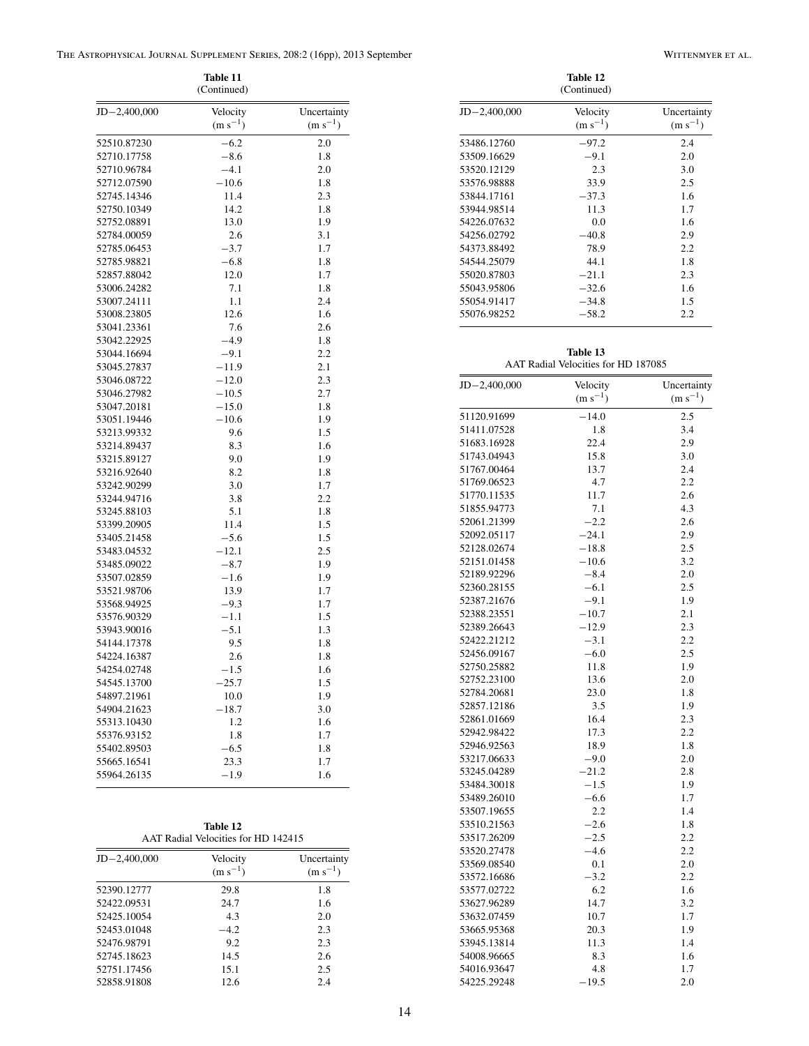|                  | Table 11<br>(Continued) |              |
|------------------|-------------------------|--------------|
| $JD - 2,400,000$ | Velocity                | Uncertainty  |
|                  | $(m s^{-1})$            | $(m s^{-1})$ |
| 52510.87230      | $-6.2$                  | 2.0          |
| 52710.17758      | $-8.6$                  | 1.8          |
| 52710.96784      | $-4.1$                  | 2.0          |
| 52712.07590      | $-10.6$                 | 1.8          |
| 52745.14346      | 11.4                    | 2.3          |
| 52750.10349      | 14.2                    | 1.8          |
| 52752.08891      | 13.0                    | 1.9          |
| 52784.00059      | 2.6                     | 3.1          |
| 52785.06453      | $-3.7$                  | 1.7          |
| 52785.98821      | $-6.8$                  | 1.8          |
| 52857.88042      | 12.0                    | 1.7          |
| 53006.24282      | 7.1                     | 1.8          |
| 53007.24111      | 1.1                     | 2.4          |
| 53008.23805      | 12.6                    | 1.6          |
| 53041.23361      | 7.6                     | 2.6          |
| 53042.22925      | $-4.9$                  | 1.8          |
| 53044.16694      | $-9.1$                  | 2.2          |
| 53045.27837      | $-11.9$                 | 2.1          |
| 53046.08722      | $-12.0$                 | 2.3          |
| 53046.27982      | $-10.5$                 | 2.7          |
| 53047.20181      | $-15.0$                 | 1.8          |
| 53051.19446      | $-10.6$                 | 1.9          |
| 53213.99332      | 9.6                     | 1.5          |
| 53214.89437      | 8.3                     | 1.6          |
| 53215.89127      | 9.0                     | 1.9          |
| 53216.92640      | 8.2                     | 1.8          |
| 53242.90299      | 3.0                     | 1.7          |
| 53244.94716      | 3.8                     | 2.2          |
| 53245.88103      | 5.1                     | 1.8          |
| 53399.20905      | 11.4                    | 1.5          |
| 53405.21458      | $-5.6$                  | 1.5          |
| 53483.04532      | $-12.1$                 | 2.5          |
| 53485.09022      | $-8.7$                  | 1.9          |
| 53507.02859      | $-1.6$                  | 1.9          |
| 53521.98706      | 13.9                    | 1.7          |
| 53568.94925      | $-9.3$                  | 1.7          |
| 53576.90329      | $-1.1$                  | 1.5          |
| 53943.90016      | $-5.1$                  | 1.3          |
| 54144.17378      | 9.5                     | 1.8          |
| 54224.16387      | 2.6                     | 1.8          |
| 54254.02748      | $-1.5$                  | 1.6          |
| 54545.13700      | $-25.7$                 | 1.5          |
| 54897.21961      | 10.0                    | 1.9          |
| 54904.21623      | -18.7                   | 3.0          |
| 55313.10430      | 1.2                     | 1.6          |
| 55376.93152      | 1.8                     | 1.7          |
| 55402.89503      | $-6.5$                  | 1.8          |
| 55665.16541      | 23.3                    | 1.7          |
| 55964.26135      | $-1.9$                  | 1.6          |

**Table 12** AAT Radial Velocities for HD 142415

| $JD - 2,400,000$ | Velocity<br>$(m s^{-1})$ | Uncertainty<br>$(m s^{-1})$ |
|------------------|--------------------------|-----------------------------|
| 52390.12777      | 29.8                     | 1.8                         |
| 52422.09531      | 24.7                     | 1.6                         |
| 52425.10054      | 4.3                      | 2.0                         |
| 52453.01048      | $-4.2$                   | 2.3                         |
| 52476.98791      | 9.2                      | 2.3                         |
| 52745.18623      | 14.5                     | 2.6                         |
| 52751.17456      | 15.1                     | 2.5                         |
| 52858.91808      | 12.6                     | 2.4                         |

|                  | Table 12<br>(Continued)  |                             |
|------------------|--------------------------|-----------------------------|
| $JD - 2,400,000$ | Velocity<br>$(m s^{-1})$ | Uncertainty<br>$(m s^{-1})$ |
| 53486.12760      | $-97.2$                  | 2.4                         |
| 53509.16629      | $-9.1$                   | 2.0                         |
| 53520.12129      | 2.3                      | 3.0                         |
| 53576.98888      | 33.9                     | 2.5                         |
| 53844.17161      | $-37.3$                  | 1.6                         |
| 53944.98514      | 11.3                     | 1.7                         |
| 54226.07632      | 0.0                      | 1.6                         |
| 54256.02792      | $-40.8$                  | 2.9                         |
| 54373.88492      | 78.9                     | 2.2                         |
| 54544.25079      | 44.1                     | 1.8                         |
| 55020.87803      | $-21.1$                  | 2.3                         |
| 55043.95806      | $-32.6$                  | 1.6                         |
| 55054.91417      | $-34.8$                  | 1.5                         |
| 55076.98252      | $-58.2$                  | 2.2                         |

| Table 13                            |
|-------------------------------------|
| AAT Radial Velocities for HD 187085 |

| $JD - 2,400,000$ | Velocity<br>$(m s^{-1})$ | Uncertainty<br>$(m s^{-1})$ |
|------------------|--------------------------|-----------------------------|
| 51120.91699      | $-14.0$                  | 2.5                         |
| 51411.07528      | 1.8                      | 3.4                         |
| 51683.16928      | 22.4                     | 2.9                         |
| 51743.04943      | 15.8                     | 3.0                         |
| 51767.00464      | 13.7                     | 2.4                         |
| 51769.06523      | 4.7                      | 2.2                         |
| 51770.11535      | 11.7                     | 2.6                         |
| 51855.94773      | 7.1                      | 4.3                         |
| 52061.21399      | $-2.2$                   | 2.6                         |
| 52092.05117      | $-24.1$                  | 2.9                         |
| 52128.02674      | $-18.8$                  | 2.5                         |
| 52151.01458      | $-10.6$                  | 3.2                         |
| 52189.92296      | $-8.4$                   | 2.0                         |
| 52360.28155      | $-6.1$                   | 2.5                         |
| 52387.21676      | $-9.1$                   | 1.9                         |
| 52388.23551      | $-10.7$                  | 2.1                         |
| 52389.26643      | $-12.9$                  | 2.3                         |
| 52422.21212      | $-3.1$                   | 2.2                         |
| 52456.09167      | $-6.0$                   | 2.5                         |
| 52750.25882      | 11.8                     | 1.9                         |
| 52752.23100      | 13.6                     | 2.0                         |
| 52784.20681      | 23.0                     | 1.8                         |
| 52857.12186      | 3.5                      | 1.9                         |
| 52861.01669      | 16.4                     | 2.3                         |
| 52942.98422      | 17.3                     | 2.2                         |
| 52946.92563      | 18.9                     | 1.8                         |
| 53217.06633      | $-9.0$                   | 2.0                         |
| 53245.04289      | $-21.2$                  | 2.8                         |
| 53484.30018      | $-1.5$                   | 1.9                         |
| 53489.26010      | $-6.6$                   | 1.7                         |
| 53507.19655      | 2.2                      | 1.4                         |
| 53510.21563      | $-2.6$                   | 1.8                         |
| 53517.26209      | $-2.5$                   | 2.2                         |
| 53520.27478      | $-4.6$                   | 2.2                         |
| 53569.08540      | 0.1                      | 2.0                         |
| 53572.16686      | $-3.2$                   | 2.2                         |
| 53577.02722      | 6.2                      | 1.6                         |
| 53627.96289      | 14.7                     | 3.2                         |
| 53632.07459      | 10.7                     | 1.7                         |
| 53665.95368      | 20.3                     | 1.9                         |
| 53945.13814      | 11.3                     | 1.4                         |
| 54008.96665      | 8.3                      | 1.6                         |
| 54016.93647      | 4.8                      | 1.7                         |
| 54225.29248      | $-19.5$                  | 2.0                         |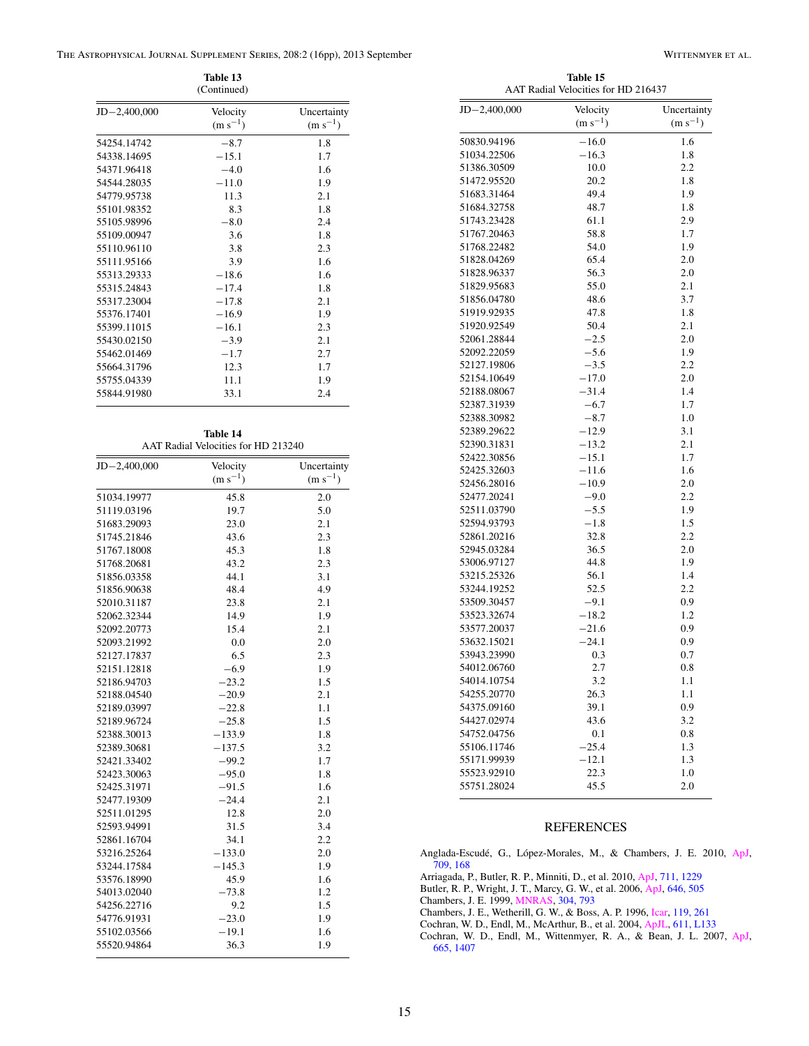<span id="page-14-0"></span>The Astrophysical Journal Supplement Series, 208:2 (16pp), 2013 September Wittenmy Er al.

| Table 13<br>(Continued) |                          |                             |  |  |
|-------------------------|--------------------------|-----------------------------|--|--|
| $JD - 2,400,000$        | Velocity<br>$(m s^{-1})$ | Uncertainty<br>$(m s^{-1})$ |  |  |
| 54254.14742             | $-8.7$                   | 1.8                         |  |  |
| 54338.14695             | $-15.1$                  | 1.7                         |  |  |
| 54371.96418             | $-4.0$                   | 1.6                         |  |  |
| 54544.28035             | $-11.0$                  | 1.9                         |  |  |
| 54779.95738             | 11.3                     | 2.1                         |  |  |
| 55101.98352             | 8.3                      | 1.8                         |  |  |
| 55105.98996             | $-8.0$                   | 2.4                         |  |  |
| 55109.00947             | 3.6                      | 1.8                         |  |  |
| 55110.96110             | 3.8                      | 2.3                         |  |  |
| 55111.95166             | 3.9                      | 1.6                         |  |  |
| 55313.29333             | $-18.6$                  | 1.6                         |  |  |
| 55315.24843             | $-17.4$                  | 1.8                         |  |  |
| 55317.23004             | $-17.8$                  | 2.1                         |  |  |
| 55376.17401             | $-16.9$                  | 1.9                         |  |  |
| 55399.11015             | $-16.1$                  | 2.3                         |  |  |
| 55430.02150             | $-3.9$                   | 2.1                         |  |  |
| 55462.01469             | $-1.7$                   | 2.7                         |  |  |
| 55664.31796             | 12.3                     | 1.7                         |  |  |
| 55755.04339             | 11.1                     | 1.9                         |  |  |
| 55844.91980             | 33.1                     | 2.4                         |  |  |

**Table 14** AAT Radial Velocities for HD 213240

| $JD - 2,400,000$ | Velocity     | Uncertainty  |  |
|------------------|--------------|--------------|--|
|                  | $(m s^{-1})$ | $(m s^{-1})$ |  |
| 51034.19977      | 45.8         | 2.0          |  |
| 51119.03196      | 19.7         | 5.0          |  |
| 51683.29093      | 23.0         | 2.1          |  |
| 51745.21846      | 43.6         | 2.3          |  |
| 51767.18008      | 45.3         | 1.8          |  |
| 51768.20681      | 43.2         | 2.3          |  |
| 51856.03358      | 44.1         | 3.1          |  |
| 51856.90638      | 48.4         | 4.9          |  |
| 52010.31187      | 23.8         | 2.1          |  |
| 52062.32344      | 14.9         | 1.9          |  |
| 52092.20773      | 15.4         | 2.1          |  |
| 52093.21992      | 0.0          | 2.0          |  |
| 52127.17837      | 6.5          | 2.3          |  |
| 52151.12818      | $-6.9$       | 1.9          |  |
| 52186.94703      | $-23.2$      | 1.5          |  |
| 52188.04540      | $-20.9$      | 2.1          |  |
| 52189.03997      | $-22.8$      | 1.1          |  |
| 52189.96724      | $-25.8$      | 1.5          |  |
| 52388.30013      | $-133.9$     | 1.8          |  |
| 52389.30681      | $-137.5$     | 3.2          |  |
| 52421.33402      | $-99.2$      | 1.7          |  |
| 52423.30063      | $-95.0$      | 1.8          |  |
| 52425.31971      | $-91.5$      | 1.6          |  |
| 52477.19309      | $-24.4$      | 2.1          |  |
| 52511.01295      | 12.8         | 2.0          |  |
| 52593.94991      | 31.5         | 3.4          |  |
| 52861.16704      | 34.1         | 2.2          |  |
| 53216.25264      | $-133.0$     | 2.0          |  |
| 53244.17584      | $-145.3$     | 1.9          |  |
| 53576.18990      | 45.9         | 1.6          |  |
| 54013.02040      | $-73.8$      | 1.2          |  |
| 54256.22716      | 9.2          | 1.5          |  |
| 54776.91931      | $-23.0$      | 1.9          |  |
| 55102.03566      | $-19.1$      | 1.6          |  |
| 55520.94864      | 36.3         | 1.9          |  |
|                  |              |              |  |

| $JD - 2,400,000$ | Velocity     | Uncertainty  |
|------------------|--------------|--------------|
|                  | $(m s^{-1})$ | $(m s^{-1})$ |
| 50830.94196      | $-16.0$      | 1.6          |
| 51034.22506      | $-16.3$      | 1.8          |
| 51386.30509      | 10.0         | 2.2          |
| 51472.95520      | 20.2         | 1.8          |
| 51683.31464      | 49.4         | 1.9          |
| 51684.32758      | 48.7         | 1.8          |
| 51743.23428      | 61.1         | 2.9          |
| 51767.20463      | 58.8         | 1.7          |
| 51768.22482      | 54.0         | 1.9          |
| 51828.04269      | 65.4         | 2.0          |
| 51828.96337      | 56.3         | 2.0          |
| 51829.95683      | 55.0         | 2.1          |
| 51856.04780      | 48.6         | 3.7          |
| 51919.92935      | 47.8         | 1.8          |
| 51920.92549      | 50.4         | 2.1          |
| 52061.28844      | $-2.5$       | 2.0          |
| 52092.22059      | $-5.6$       | 1.9          |
| 52127.19806      | $-3.5$       | 2.2          |
| 52154.10649      | $-17.0$      | 2.0          |
| 52188.08067      | $-31.4$      | 1.4          |
| 52387.31939      | $-6.7$       | 1.7          |
|                  | $-8.7$       |              |
| 52388.30982      |              | 1.0          |
| 52389.29622      | $-12.9$      | 3.1          |
| 52390.31831      | $-13.2$      | 2.1          |
| 52422.30856      | $-15.1$      | 1.7          |
| 52425.32603      | $-11.6$      | 1.6          |
| 52456.28016      | $-10.9$      | 2.0          |
| 52477.20241      | $-9.0$       | 2.2          |
| 52511.03790      | $-5.5$       | 1.9          |
| 52594.93793      | $-1.8$       | 1.5          |
| 52861.20216      | 32.8         | 2.2          |
| 52945.03284      | 36.5         | 2.0          |
| 53006.97127      | 44.8         | 1.9          |
| 53215.25326      | 56.1         | 1.4          |
| 53244.19252      | 52.5         | 2.2          |
| 53509.30457      | $-9.1$       | 0.9          |
| 53523.32674      | $-18.2$      | 1.2          |
| 53577.20037      | $-21.6$      | 0.9          |
| 53632.15021      | $-24.1$      | 0.9          |
| 53943.23990      | 0.3          | 0.7          |
| 54012.06760      | 2.7          | 0.8          |
| 54014.10754      | 3.2          | 1.1          |
| 54255.20770      | 26.3         | 1.1          |
| 54375.09160      | 39.1         | 0.9          |
| 54427.02974      | 43.6         | 3.2          |
| 54752.04756      | 0.1          | 0.8          |
| 55106.11746      | $-25.4$      | 1.3          |
| 55171.99939      | -12.1        | 1.3          |
| 55523.92910      | 22.3         | 1.0          |
| 55751.28024      | 45.5         | 2.0          |

**Table 15**

# REFERENCES

Anglada-Escudé, G., López-Morales, M., & Chambers, J. E. 2010, [ApJ,](http://dx.doi.org/10.1088/0004-637X/709/1/168) [709, 168](http://adsabs.harvard.edu/abs/2010ApJ...709..168A)

Arriagada, P., Butler, R. P., Minniti, D., et al. 2010, [ApJ,](http://dx.doi.org/10.1088/0004-637X/711/2/1229) [711, 1229](http://adsabs.harvard.edu/abs/2010ApJ...711.1229A)

Butler, R. P., Wright, J. T., Marcy, G. W., et al. 2006, [ApJ,](http://dx.doi.org/10.1086/504701) [646, 505](http://adsabs.harvard.edu/abs/2006ApJ...646..505B)

Chambers, J. E. 1999, [MNRAS,](http://dx.doi.org/10.1046/j.1365-8711.1999.02379.x) [304, 793](http://adsabs.harvard.edu/abs/1999MNRAS.304..793C)

Chambers, J. E., Wetherill, G. W., & Boss, A. P. 1996, [Icar,](http://dx.doi.org/10.1006/icar.1996.0019) [119, 261](http://adsabs.harvard.edu/abs/1996Icar..119..261C)

Cochran, W. D., Endl, M., McArthur, B., et al. 2004, [ApJL,](http://dx.doi.org/10.1086/423936) [611, L133](http://adsabs.harvard.edu/abs/2004ApJ...611L.133C)

Cochran, W. D., Endl, M., Wittenmyer, R. A., & Bean, J. L. 2007, [ApJ,](http://dx.doi.org/10.1086/519555) [665, 1407](http://adsabs.harvard.edu/abs/2007ApJ...665.1407C)